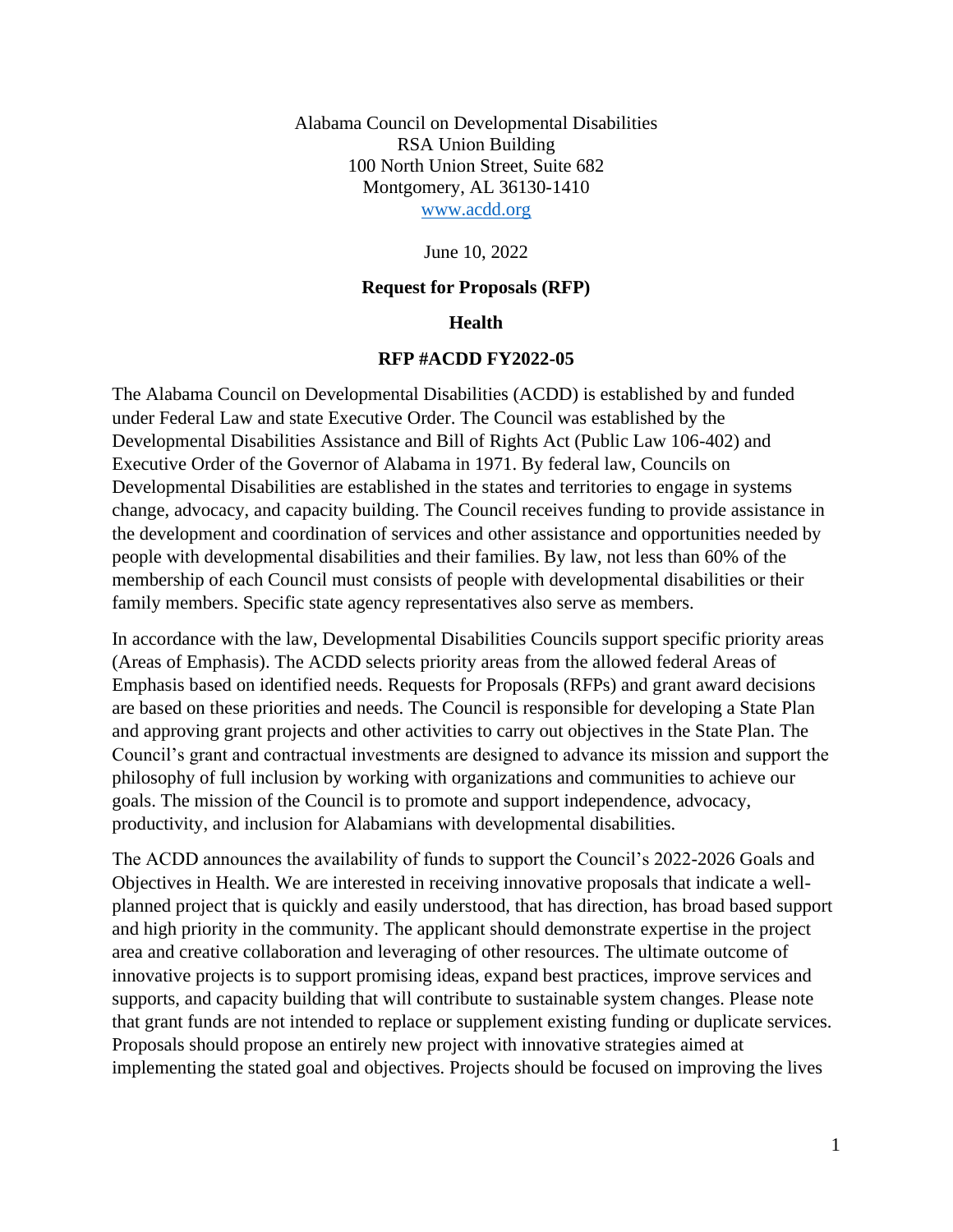Alabama Council on Developmental Disabilities RSA Union Building 100 North Union Street, Suite 682 Montgomery, AL 36130-1410 [www.acdd.org](http://www.acdd.org/)

June 10, 2022

#### **Request for Proposals (RFP)**

#### **Health**

#### **RFP #ACDD FY2022-05**

The Alabama Council on Developmental Disabilities (ACDD) is established by and funded under Federal Law and state Executive Order. The Council was established by the Developmental Disabilities Assistance and Bill of Rights Act (Public Law 106-402) and Executive Order of the Governor of Alabama in 1971. By federal law, Councils on Developmental Disabilities are established in the states and territories to engage in systems change, advocacy, and capacity building. The Council receives funding to provide assistance in the development and coordination of services and other assistance and opportunities needed by people with developmental disabilities and their families. By law, not less than 60% of the membership of each Council must consists of people with developmental disabilities or their family members. Specific state agency representatives also serve as members.

In accordance with the law, Developmental Disabilities Councils support specific priority areas (Areas of Emphasis). The ACDD selects priority areas from the allowed federal Areas of Emphasis based on identified needs. Requests for Proposals (RFPs) and grant award decisions are based on these priorities and needs. The Council is responsible for developing a State Plan and approving grant projects and other activities to carry out objectives in the State Plan. The Council's grant and contractual investments are designed to advance its mission and support the philosophy of full inclusion by working with organizations and communities to achieve our goals. The mission of the Council is to promote and support independence, advocacy, productivity, and inclusion for Alabamians with developmental disabilities.

The ACDD announces the availability of funds to support the Council's 2022-2026 Goals and Objectives in Health. We are interested in receiving innovative proposals that indicate a wellplanned project that is quickly and easily understood, that has direction, has broad based support and high priority in the community. The applicant should demonstrate expertise in the project area and creative collaboration and leveraging of other resources. The ultimate outcome of innovative projects is to support promising ideas, expand best practices, improve services and supports, and capacity building that will contribute to sustainable system changes. Please note that grant funds are not intended to replace or supplement existing funding or duplicate services. Proposals should propose an entirely new project with innovative strategies aimed at implementing the stated goal and objectives. Projects should be focused on improving the lives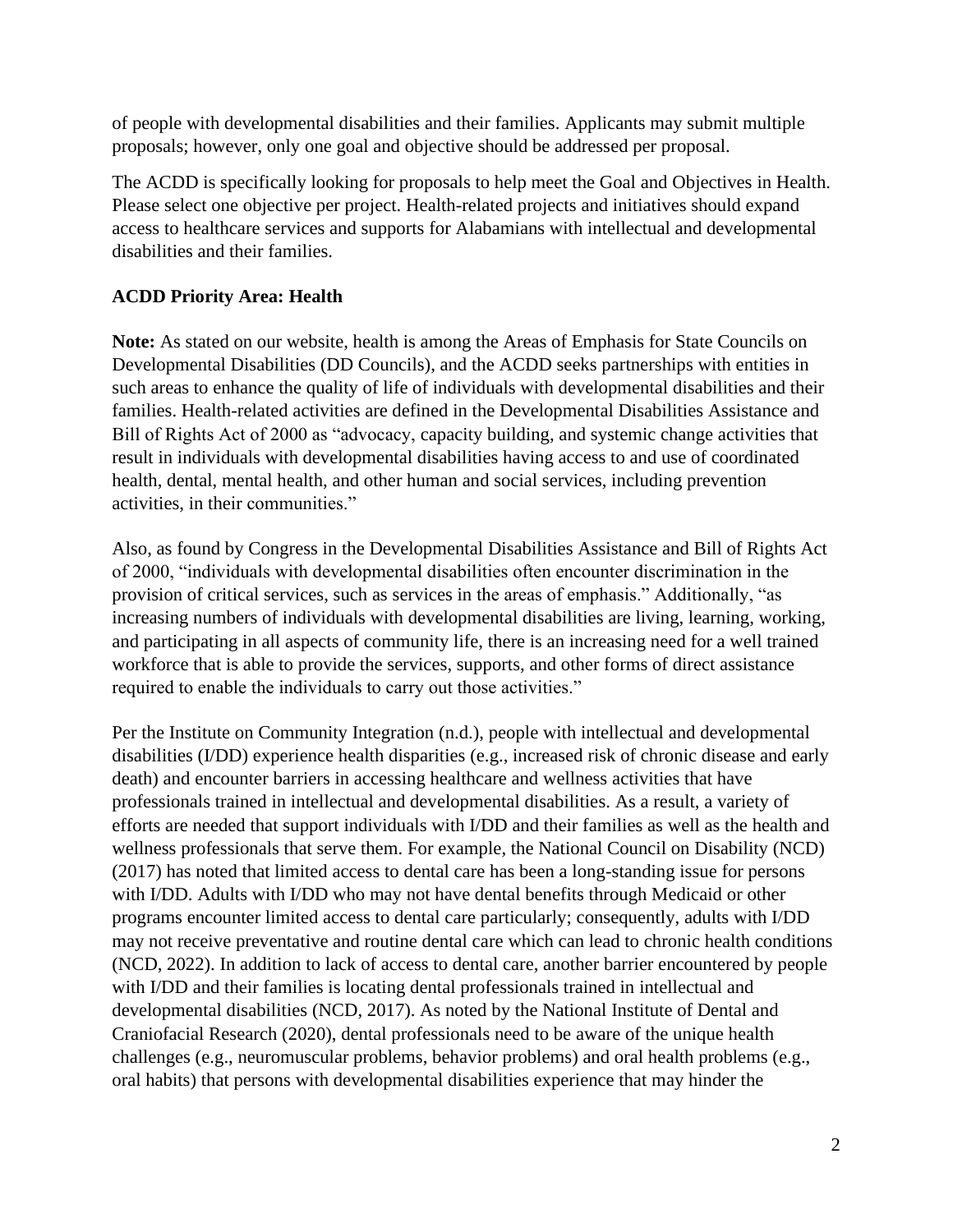of people with developmental disabilities and their families. Applicants may submit multiple proposals; however, only one goal and objective should be addressed per proposal.

The ACDD is specifically looking for proposals to help meet the Goal and Objectives in Health. Please select one objective per project. Health-related projects and initiatives should expand access to healthcare services and supports for Alabamians with intellectual and developmental disabilities and their families.

# **ACDD Priority Area: Health**

**Note:** As stated on our website, health is among the Areas of Emphasis for State Councils on Developmental Disabilities (DD Councils), and the ACDD seeks partnerships with entities in such areas to enhance the quality of life of individuals with developmental disabilities and their families. Health-related activities are defined in the Developmental Disabilities Assistance and Bill of Rights Act of 2000 as "advocacy, capacity building, and systemic change activities that result in individuals with developmental disabilities having access to and use of coordinated health, dental, mental health, and other human and social services, including prevention activities, in their communities."

Also, as found by Congress in the Developmental Disabilities Assistance and Bill of Rights Act of 2000, "individuals with developmental disabilities often encounter discrimination in the provision of critical services, such as services in the areas of emphasis." Additionally, "as increasing numbers of individuals with developmental disabilities are living, learning, working, and participating in all aspects of community life, there is an increasing need for a well trained workforce that is able to provide the services, supports, and other forms of direct assistance required to enable the individuals to carry out those activities."

Per the Institute on Community Integration (n.d.), people with intellectual and developmental disabilities (I/DD) experience health disparities (e.g., increased risk of chronic disease and early death) and encounter barriers in accessing healthcare and wellness activities that have professionals trained in intellectual and developmental disabilities. As a result, a variety of efforts are needed that support individuals with I/DD and their families as well as the health and wellness professionals that serve them. For example, the National Council on Disability (NCD) (2017) has noted that limited access to dental care has been a long-standing issue for persons with I/DD. Adults with I/DD who may not have dental benefits through Medicaid or other programs encounter limited access to dental care particularly; consequently, adults with I/DD may not receive preventative and routine dental care which can lead to chronic health conditions (NCD, 2022). In addition to lack of access to dental care, another barrier encountered by people with I/DD and their families is locating dental professionals trained in intellectual and developmental disabilities (NCD, 2017). As noted by the National Institute of Dental and Craniofacial Research (2020), dental professionals need to be aware of the unique health challenges (e.g., neuromuscular problems, behavior problems) and oral health problems (e.g., oral habits) that persons with developmental disabilities experience that may hinder the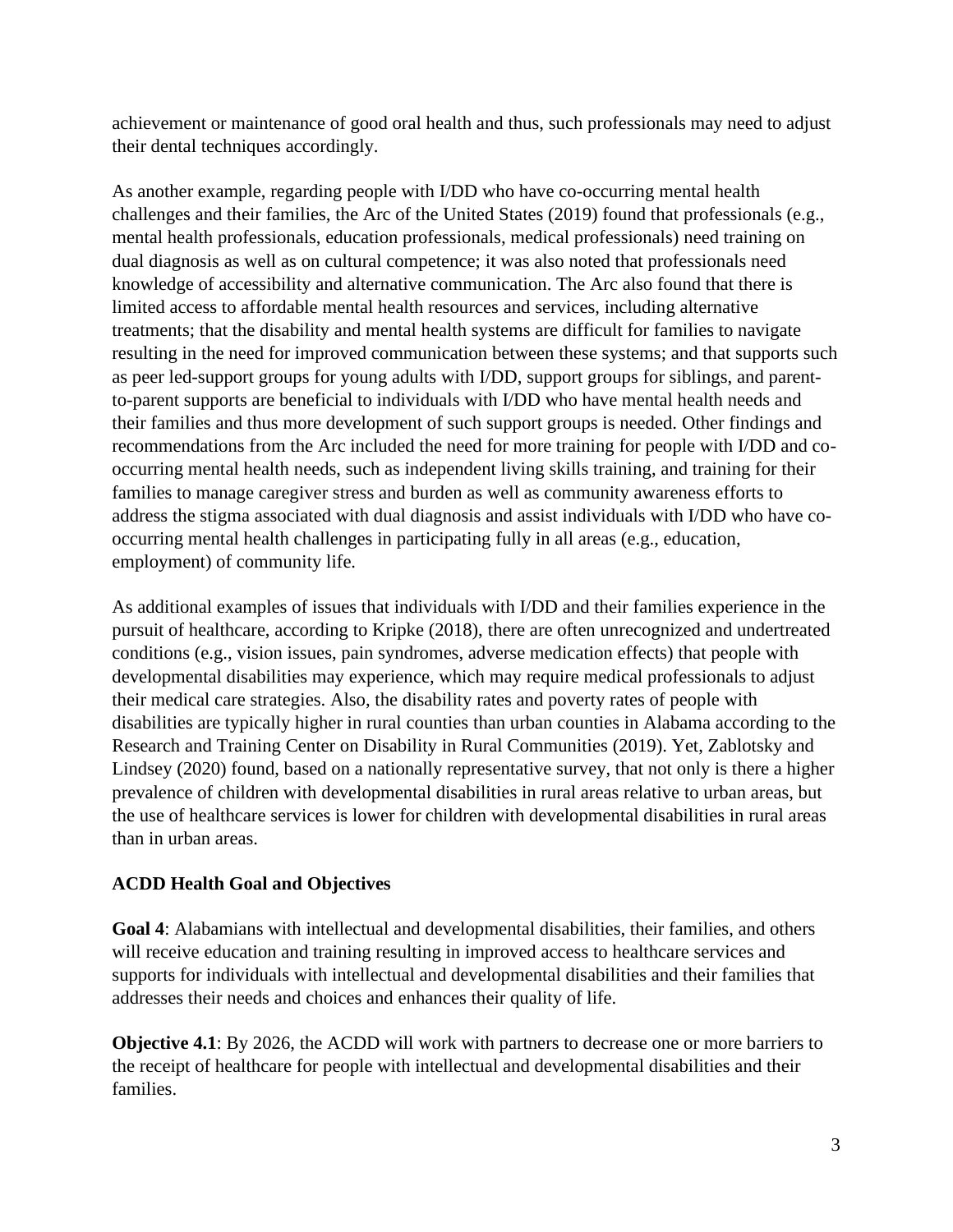achievement or maintenance of good oral health and thus, such professionals may need to adjust their dental techniques accordingly.

As another example, regarding people with I/DD who have co-occurring mental health challenges and their families, the Arc of the United States (2019) found that professionals (e.g., mental health professionals, education professionals, medical professionals) need training on dual diagnosis as well as on cultural competence; it was also noted that professionals need knowledge of accessibility and alternative communication. The Arc also found that there is limited access to affordable mental health resources and services, including alternative treatments; that the disability and mental health systems are difficult for families to navigate resulting in the need for improved communication between these systems; and that supports such as peer led-support groups for young adults with I/DD, support groups for siblings, and parentto-parent supports are beneficial to individuals with I/DD who have mental health needs and their families and thus more development of such support groups is needed. Other findings and recommendations from the Arc included the need for more training for people with I/DD and cooccurring mental health needs, such as independent living skills training, and training for their families to manage caregiver stress and burden as well as community awareness efforts to address the stigma associated with dual diagnosis and assist individuals with I/DD who have cooccurring mental health challenges in participating fully in all areas (e.g., education, employment) of community life.

As additional examples of issues that individuals with I/DD and their families experience in the pursuit of healthcare, according to Kripke (2018), there are often unrecognized and undertreated conditions (e.g., vision issues, pain syndromes, adverse medication effects) that people with developmental disabilities may experience, which may require medical professionals to adjust their medical care strategies. Also, the disability rates and poverty rates of people with disabilities are typically higher in rural counties than urban counties in Alabama according to the Research and Training Center on Disability in Rural Communities (2019). Yet, Zablotsky and Lindsey (2020) found, based on a nationally representative survey, that not only is there a higher prevalence of children with developmental disabilities in rural areas relative to urban areas, but the use of healthcare services is lower for children with developmental disabilities in rural areas than in urban areas.

# **ACDD Health Goal and Objectives**

**Goal 4**: Alabamians with intellectual and developmental disabilities, their families, and others will receive education and training resulting in improved access to healthcare services and supports for individuals with intellectual and developmental disabilities and their families that addresses their needs and choices and enhances their quality of life.

**Objective 4.1**: By 2026, the ACDD will work with partners to decrease one or more barriers to the receipt of healthcare for people with intellectual and developmental disabilities and their families.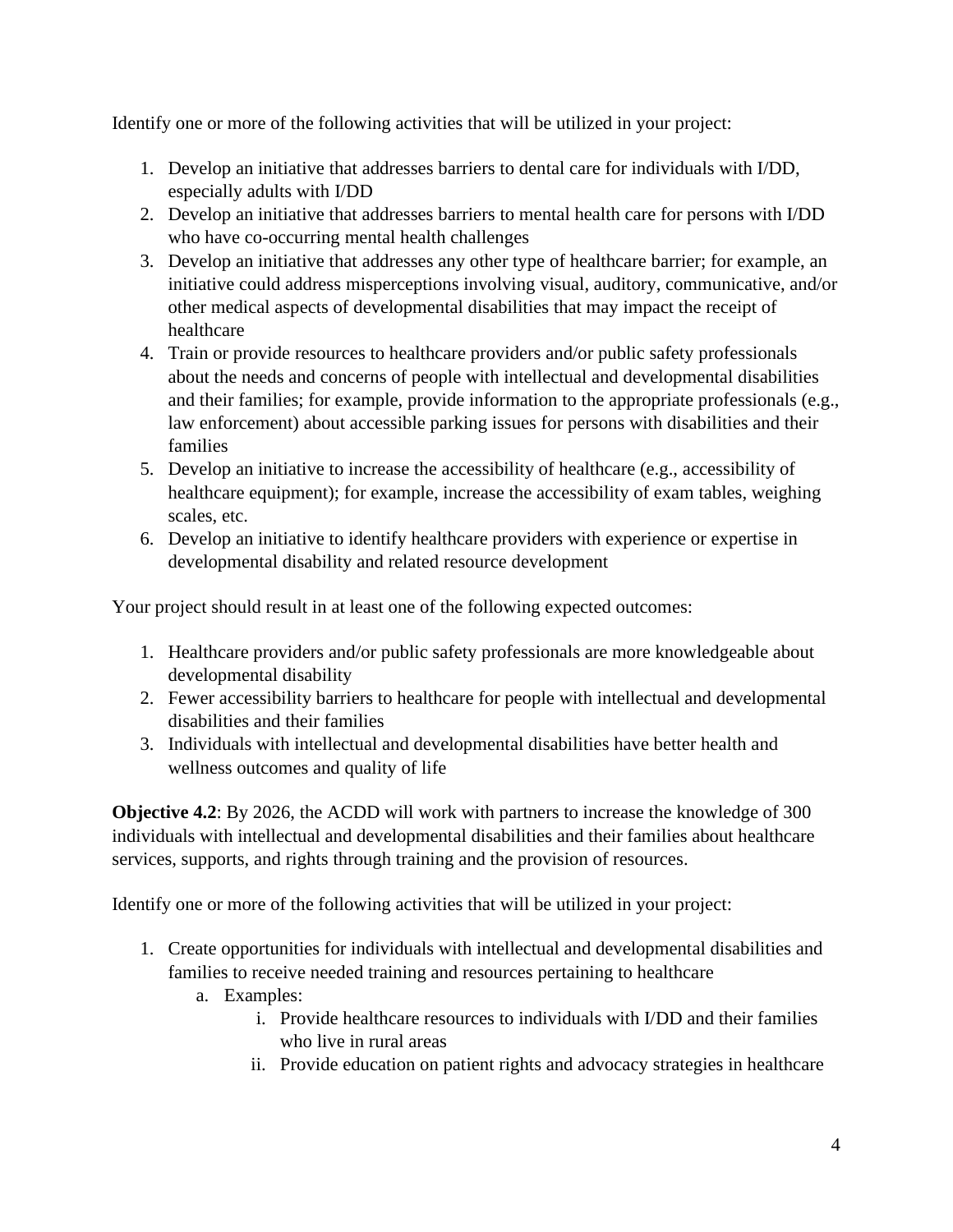Identify one or more of the following activities that will be utilized in your project:

- 1. Develop an initiative that addresses barriers to dental care for individuals with I/DD, especially adults with I/DD
- 2. Develop an initiative that addresses barriers to mental health care for persons with I/DD who have co-occurring mental health challenges
- 3. Develop an initiative that addresses any other type of healthcare barrier; for example, an initiative could address misperceptions involving visual, auditory, communicative, and/or other medical aspects of developmental disabilities that may impact the receipt of healthcare
- 4. Train or provide resources to healthcare providers and/or public safety professionals about the needs and concerns of people with intellectual and developmental disabilities and their families; for example, provide information to the appropriate professionals (e.g., law enforcement) about accessible parking issues for persons with disabilities and their families
- 5. Develop an initiative to increase the accessibility of healthcare (e.g., accessibility of healthcare equipment); for example, increase the accessibility of exam tables, weighing scales, etc.
- 6. Develop an initiative to identify healthcare providers with experience or expertise in developmental disability and related resource development

Your project should result in at least one of the following expected outcomes:

- 1. Healthcare providers and/or public safety professionals are more knowledgeable about developmental disability
- 2. Fewer accessibility barriers to healthcare for people with intellectual and developmental disabilities and their families
- 3. Individuals with intellectual and developmental disabilities have better health and wellness outcomes and quality of life

**Objective 4.2**: By 2026, the ACDD will work with partners to increase the knowledge of 300 individuals with intellectual and developmental disabilities and their families about healthcare services, supports, and rights through training and the provision of resources.

Identify one or more of the following activities that will be utilized in your project:

- 1. Create opportunities for individuals with intellectual and developmental disabilities and families to receive needed training and resources pertaining to healthcare
	- a. Examples:
		- i. Provide healthcare resources to individuals with I/DD and their families who live in rural areas
		- ii. Provide education on patient rights and advocacy strategies in healthcare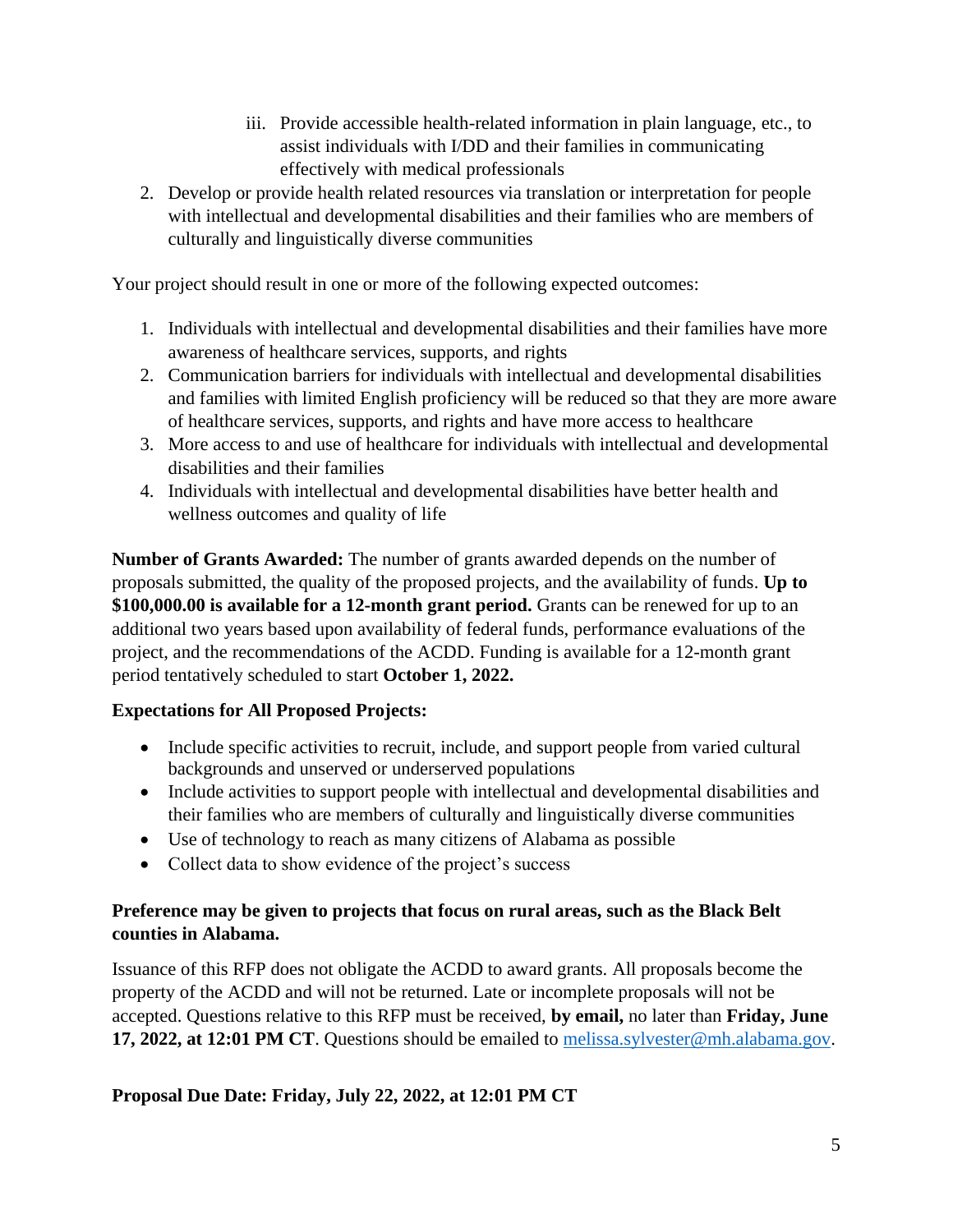- iii. Provide accessible health-related information in plain language, etc., to assist individuals with I/DD and their families in communicating effectively with medical professionals
- 2. Develop or provide health related resources via translation or interpretation for people with intellectual and developmental disabilities and their families who are members of culturally and linguistically diverse communities

Your project should result in one or more of the following expected outcomes:

- 1. Individuals with intellectual and developmental disabilities and their families have more awareness of healthcare services, supports, and rights
- 2. Communication barriers for individuals with intellectual and developmental disabilities and families with limited English proficiency will be reduced so that they are more aware of healthcare services, supports, and rights and have more access to healthcare
- 3. More access to and use of healthcare for individuals with intellectual and developmental disabilities and their families
- 4. Individuals with intellectual and developmental disabilities have better health and wellness outcomes and quality of life

**Number of Grants Awarded:** The number of grants awarded depends on the number of proposals submitted, the quality of the proposed projects, and the availability of funds. **Up to \$100,000.00 is available for a 12-month grant period.** Grants can be renewed for up to an additional two years based upon availability of federal funds, performance evaluations of the project, and the recommendations of the ACDD. Funding is available for a 12-month grant period tentatively scheduled to start **October 1, 2022.**

# **Expectations for All Proposed Projects:**

- Include specific activities to recruit, include, and support people from varied cultural backgrounds and unserved or underserved populations
- Include activities to support people with intellectual and developmental disabilities and their families who are members of culturally and linguistically diverse communities
- Use of technology to reach as many citizens of Alabama as possible
- Collect data to show evidence of the project's success

# **Preference may be given to projects that focus on rural areas, such as the Black Belt counties in Alabama.**

Issuance of this RFP does not obligate the ACDD to award grants. All proposals become the property of the ACDD and will not be returned. Late or incomplete proposals will not be accepted. Questions relative to this RFP must be received, **by email,** no later than **Friday, June 17, 2022, at 12:01 PM CT**. Questions should be emailed to [melissa.sylvester@mh.alabama.gov.](mailto:melissa.sylvester@mh.alabama.gov)

# **Proposal Due Date: Friday, July 22, 2022, at 12:01 PM CT**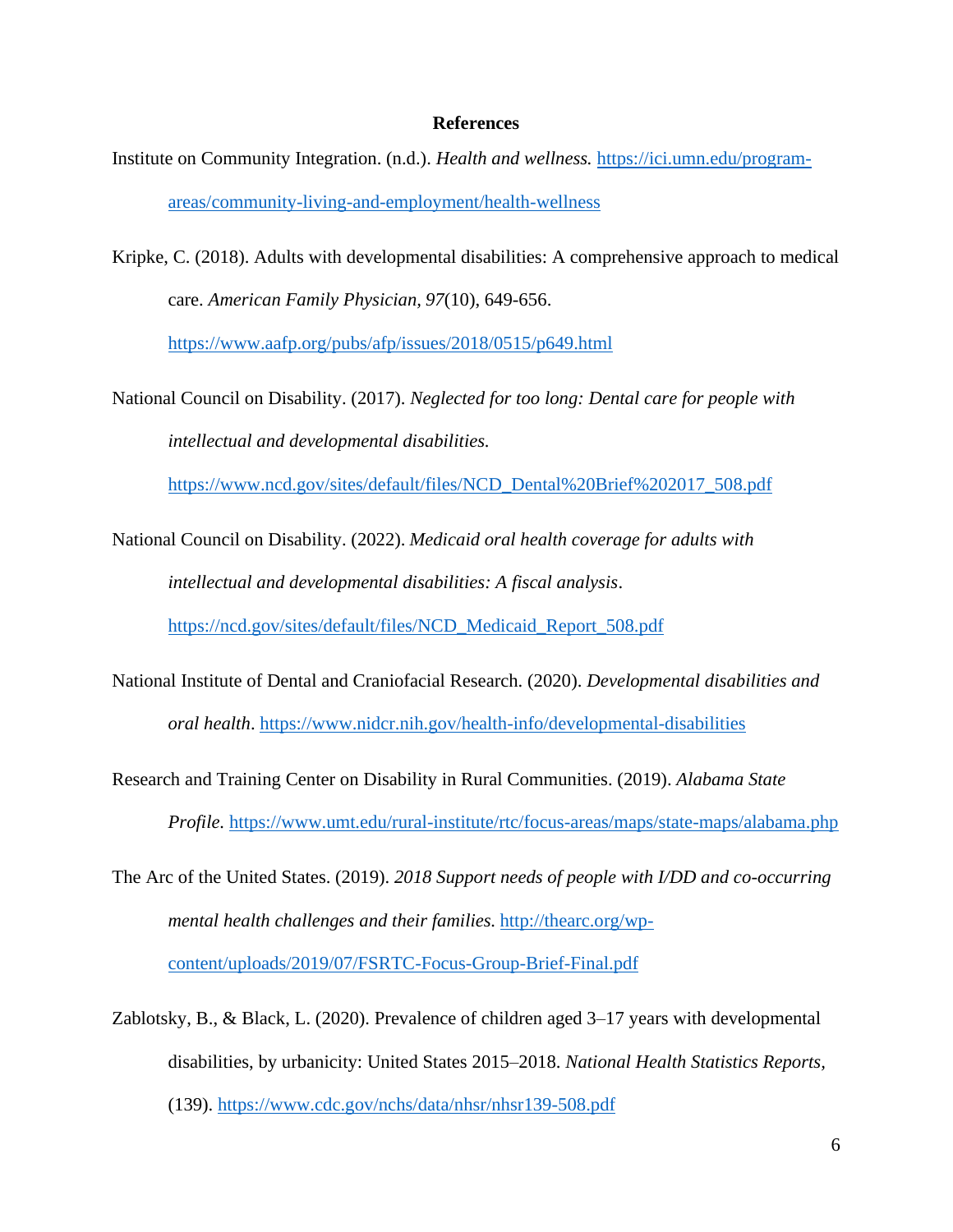#### **References**

- Institute on Community Integration. (n.d.). *Health and wellness.* [https://ici.umn.edu/program](https://ici.umn.edu/program-areas/community-living-and-employment/health-wellness)[areas/community-living-and-employment/health-wellness](https://ici.umn.edu/program-areas/community-living-and-employment/health-wellness)
- Kripke, C. (2018). Adults with developmental disabilities: A comprehensive approach to medical care. *American Family Physician, 97*(10), 649-656.

<https://www.aafp.org/pubs/afp/issues/2018/0515/p649.html>

National Council on Disability. (2017). *Neglected for too long: Dental care for people with intellectual and developmental disabilities.* 

[https://www.ncd.gov/sites/default/files/NCD\\_Dental%20Brief%202017\\_508.pdf](https://www.ncd.gov/sites/default/files/NCD_Dental%20Brief%202017_508.pdf)

National Council on Disability. (2022). *Medicaid oral health coverage for adults with intellectual and developmental disabilities: A fiscal analysis*.

[https://ncd.gov/sites/default/files/NCD\\_Medicaid\\_Report\\_508.pdf](https://ncd.gov/sites/default/files/NCD_Medicaid_Report_508.pdf)

- National Institute of Dental and Craniofacial Research. (2020). *Developmental disabilities and oral health*.<https://www.nidcr.nih.gov/health-info/developmental-disabilities>
- Research and Training Center on Disability in Rural Communities. (2019). *Alabama State Profile.* <https://www.umt.edu/rural-institute/rtc/focus-areas/maps/state-maps/alabama.php>
- The Arc of the United States. (2019). *2018 Support needs of people with I/DD and co-occurring mental health challenges and their families.* [http://thearc.org/wp](http://thearc.org/wp-content/uploads/2019/07/FSRTC-Focus-Group-Brief-Final.pdf)[content/uploads/2019/07/FSRTC-Focus-Group-Brief-Final.pdf](http://thearc.org/wp-content/uploads/2019/07/FSRTC-Focus-Group-Brief-Final.pdf)
- Zablotsky, B., & Black, L. (2020). Prevalence of children aged 3–17 years with developmental disabilities, by urbanicity: United States 2015–2018. *National Health Statistics Reports,* (139).<https://www.cdc.gov/nchs/data/nhsr/nhsr139-508.pdf>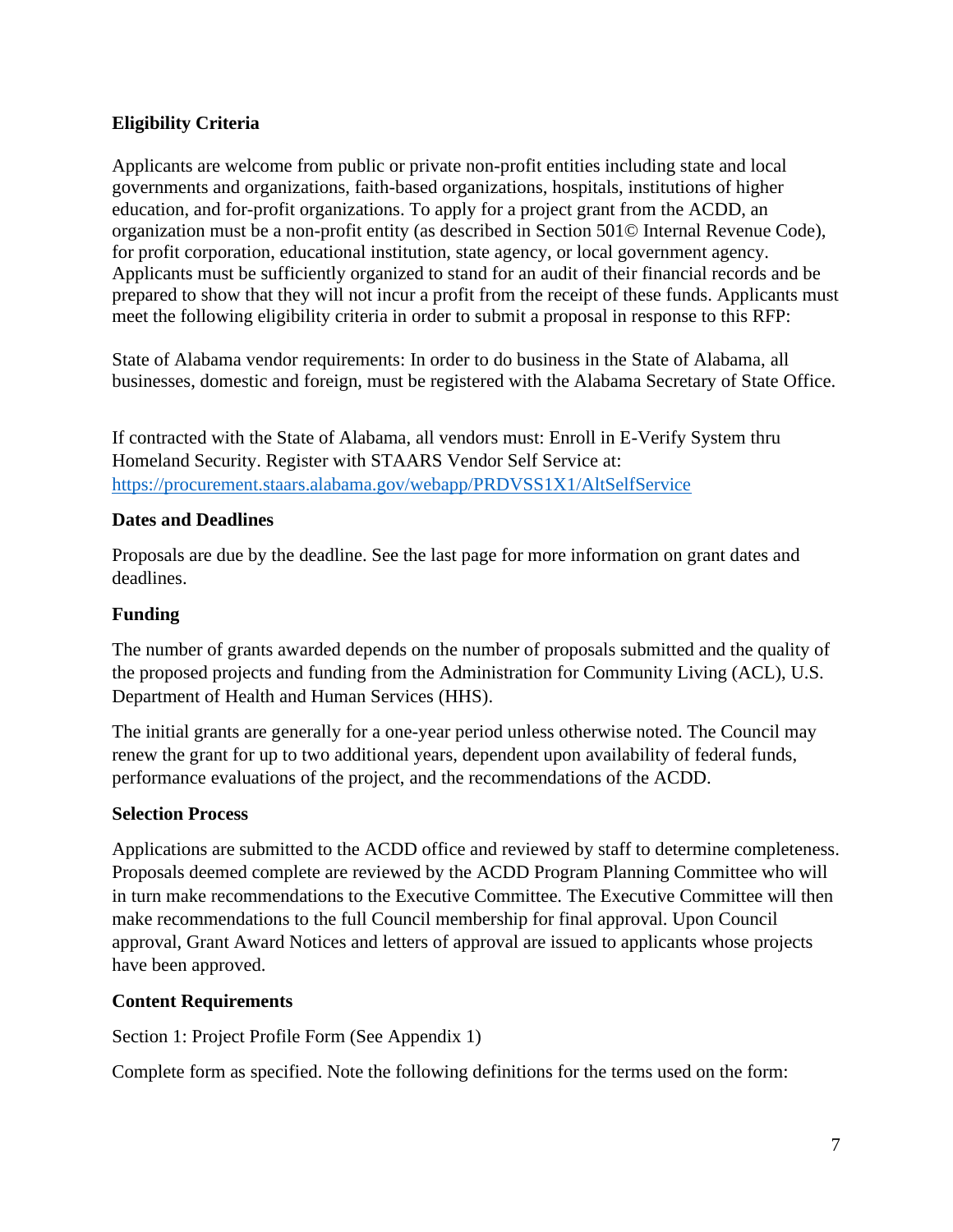### **Eligibility Criteria**

Applicants are welcome from public or private non-profit entities including state and local governments and organizations, faith-based organizations, hospitals, institutions of higher education, and for-profit organizations. To apply for a project grant from the ACDD, an organization must be a non-profit entity (as described in Section 501© Internal Revenue Code), for profit corporation, educational institution, state agency, or local government agency. Applicants must be sufficiently organized to stand for an audit of their financial records and be prepared to show that they will not incur a profit from the receipt of these funds. Applicants must meet the following eligibility criteria in order to submit a proposal in response to this RFP:

State of Alabama vendor requirements: In order to do business in the State of Alabama, all businesses, domestic and foreign, must be registered with the Alabama Secretary of State Office.

If contracted with the State of Alabama, all vendors must: Enroll in E-Verify System thru Homeland Security. Register with STAARS Vendor Self Service at: <https://procurement.staars.alabama.gov/webapp/PRDVSS1X1/AltSelfService>

### **Dates and Deadlines**

Proposals are due by the deadline. See the last page for more information on grant dates and deadlines.

#### **Funding**

The number of grants awarded depends on the number of proposals submitted and the quality of the proposed projects and funding from the Administration for Community Living (ACL), U.S. Department of Health and Human Services (HHS).

The initial grants are generally for a one-year period unless otherwise noted. The Council may renew the grant for up to two additional years, dependent upon availability of federal funds, performance evaluations of the project, and the recommendations of the ACDD.

### **Selection Process**

Applications are submitted to the ACDD office and reviewed by staff to determine completeness. Proposals deemed complete are reviewed by the ACDD Program Planning Committee who will in turn make recommendations to the Executive Committee. The Executive Committee will then make recommendations to the full Council membership for final approval. Upon Council approval, Grant Award Notices and letters of approval are issued to applicants whose projects have been approved.

### **Content Requirements**

Section 1: Project Profile Form (See Appendix 1)

Complete form as specified. Note the following definitions for the terms used on the form: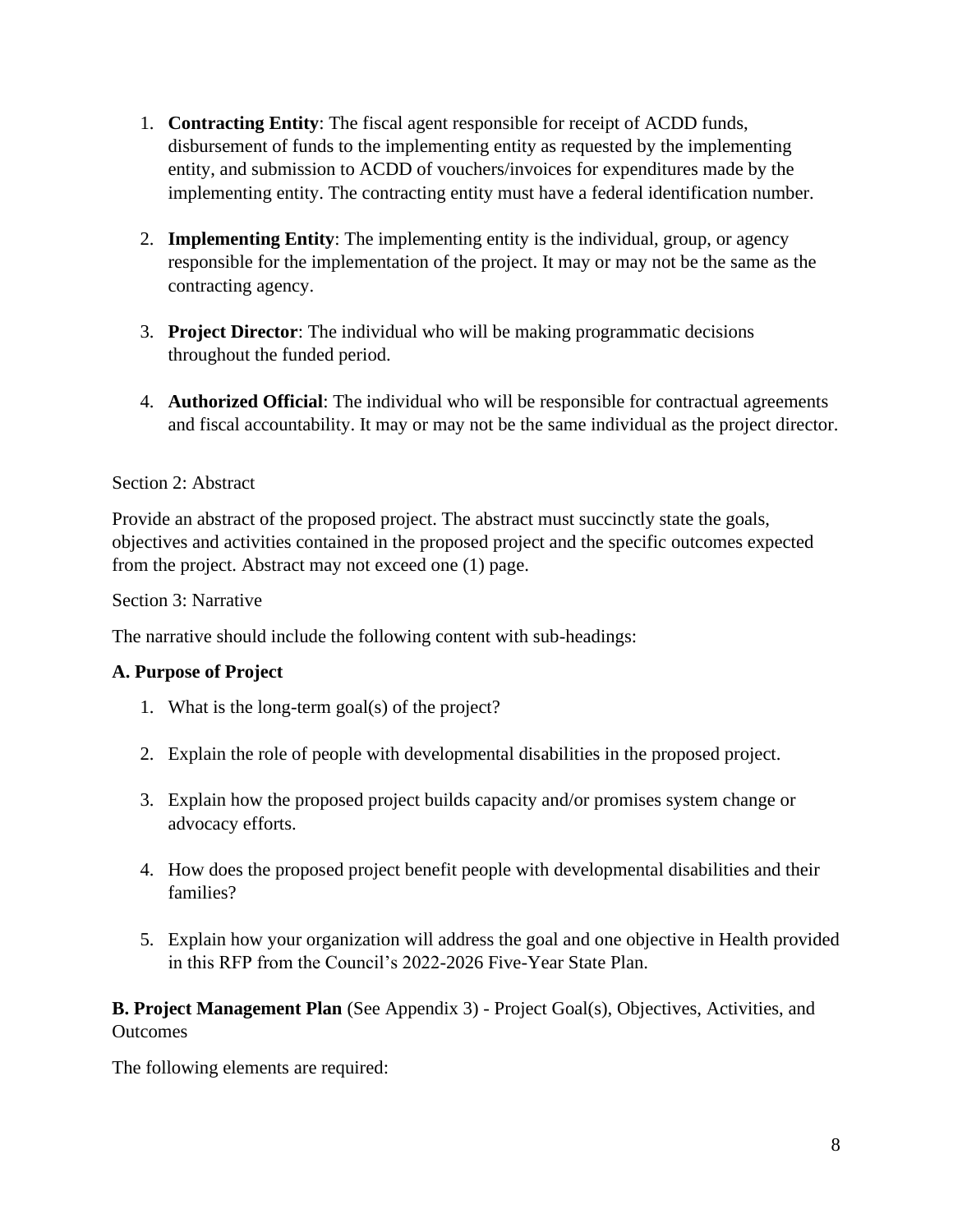- 1. **Contracting Entity**: The fiscal agent responsible for receipt of ACDD funds, disbursement of funds to the implementing entity as requested by the implementing entity, and submission to ACDD of vouchers/invoices for expenditures made by the implementing entity. The contracting entity must have a federal identification number.
- 2. **Implementing Entity**: The implementing entity is the individual, group, or agency responsible for the implementation of the project. It may or may not be the same as the contracting agency.
- 3. **Project Director**: The individual who will be making programmatic decisions throughout the funded period.
- 4. **Authorized Official**: The individual who will be responsible for contractual agreements and fiscal accountability. It may or may not be the same individual as the project director.

### Section 2: Abstract

Provide an abstract of the proposed project. The abstract must succinctly state the goals, objectives and activities contained in the proposed project and the specific outcomes expected from the project. Abstract may not exceed one (1) page.

Section 3: Narrative

The narrative should include the following content with sub-headings:

### **A. Purpose of Project**

- 1. What is the long-term goal(s) of the project?
- 2. Explain the role of people with developmental disabilities in the proposed project.
- 3. Explain how the proposed project builds capacity and/or promises system change or advocacy efforts.
- 4. How does the proposed project benefit people with developmental disabilities and their families?
- 5. Explain how your organization will address the goal and one objective in Health provided in this RFP from the Council's 2022-2026 Five-Year State Plan.

**B. Project Management Plan** (See Appendix 3) - Project Goal(s), Objectives, Activities, and **Outcomes** 

The following elements are required: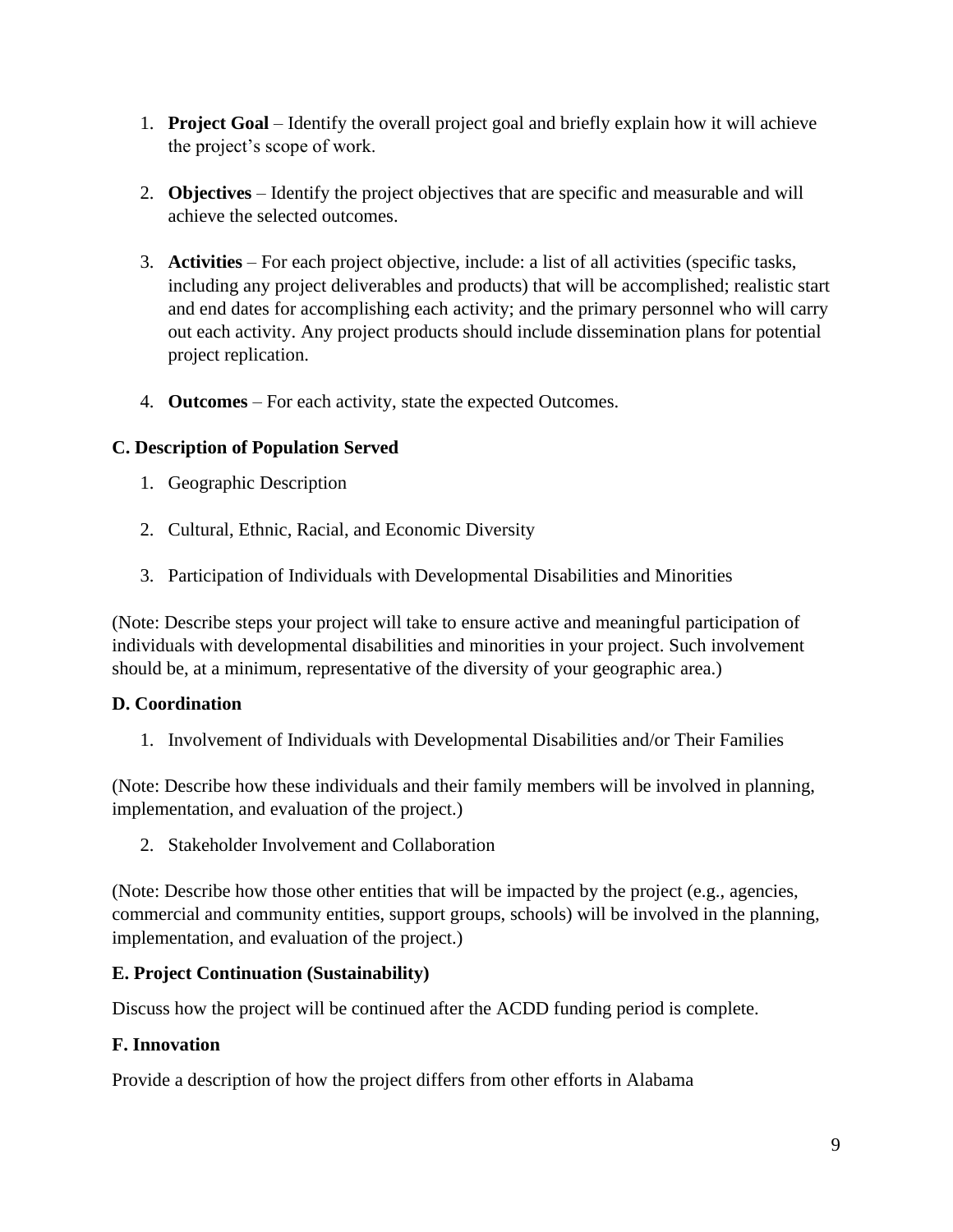- 1. **Project Goal** Identify the overall project goal and briefly explain how it will achieve the project's scope of work.
- 2. **Objectives** Identify the project objectives that are specific and measurable and will achieve the selected outcomes.
- 3. **Activities** For each project objective, include: a list of all activities (specific tasks, including any project deliverables and products) that will be accomplished; realistic start and end dates for accomplishing each activity; and the primary personnel who will carry out each activity. Any project products should include dissemination plans for potential project replication.
- 4. **Outcomes** For each activity, state the expected Outcomes.

### **C. Description of Population Served**

- 1. Geographic Description
- 2. Cultural, Ethnic, Racial, and Economic Diversity
- 3. Participation of Individuals with Developmental Disabilities and Minorities

(Note: Describe steps your project will take to ensure active and meaningful participation of individuals with developmental disabilities and minorities in your project. Such involvement should be, at a minimum, representative of the diversity of your geographic area.)

### **D. Coordination**

1. Involvement of Individuals with Developmental Disabilities and/or Their Families

(Note: Describe how these individuals and their family members will be involved in planning, implementation, and evaluation of the project.)

2. Stakeholder Involvement and Collaboration

(Note: Describe how those other entities that will be impacted by the project (e.g., agencies, commercial and community entities, support groups, schools) will be involved in the planning, implementation, and evaluation of the project.)

### **E. Project Continuation (Sustainability)**

Discuss how the project will be continued after the ACDD funding period is complete.

### **F. Innovation**

Provide a description of how the project differs from other efforts in Alabama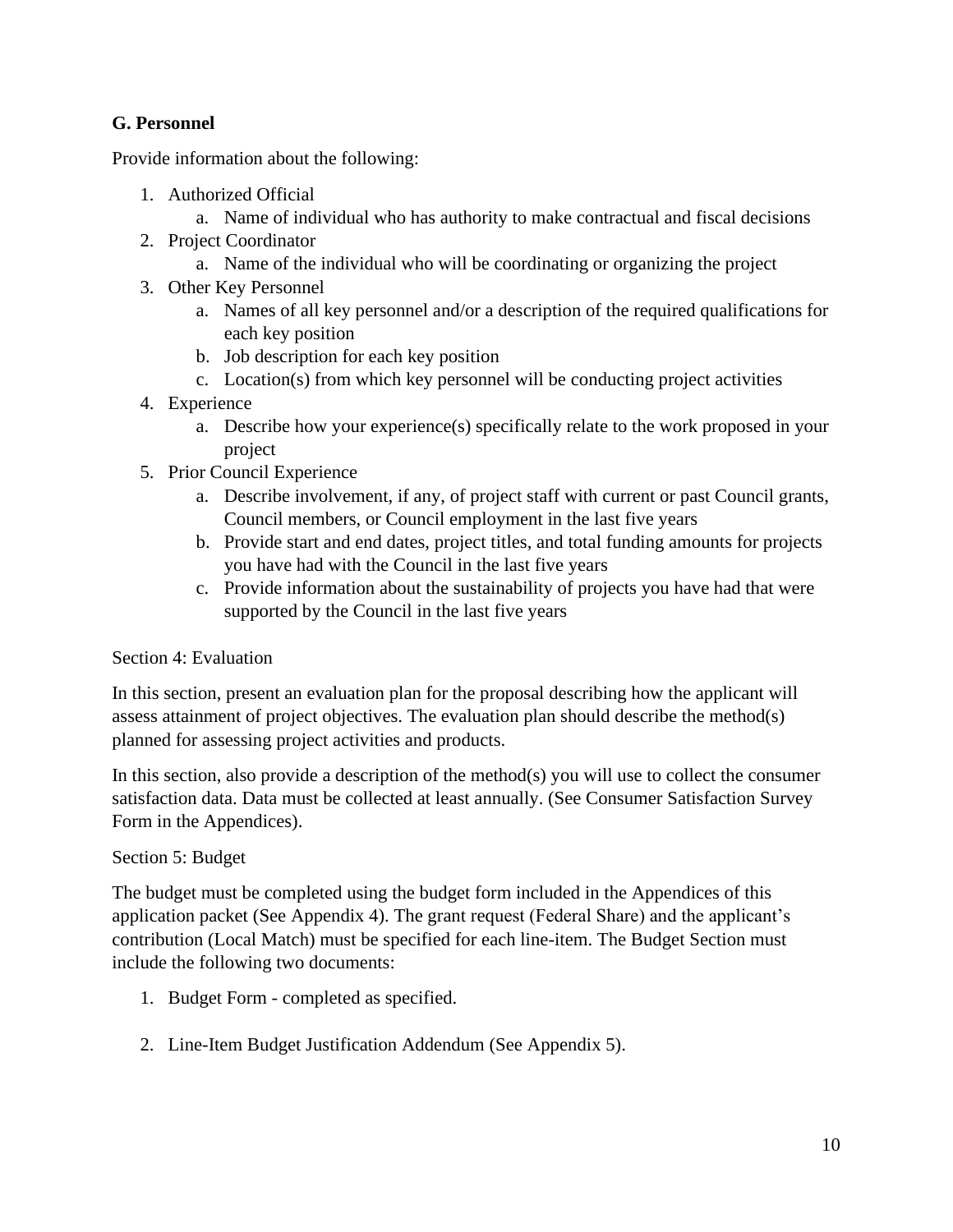# **G. Personnel**

Provide information about the following:

- 1. Authorized Official
	- a. Name of individual who has authority to make contractual and fiscal decisions
- 2. Project Coordinator
	- a. Name of the individual who will be coordinating or organizing the project
- 3. Other Key Personnel
	- a. Names of all key personnel and/or a description of the required qualifications for each key position
	- b. Job description for each key position
	- c. Location(s) from which key personnel will be conducting project activities
- 4. Experience
	- a. Describe how your experience(s) specifically relate to the work proposed in your project
- 5. Prior Council Experience
	- a. Describe involvement, if any, of project staff with current or past Council grants, Council members, or Council employment in the last five years
	- b. Provide start and end dates, project titles, and total funding amounts for projects you have had with the Council in the last five years
	- c. Provide information about the sustainability of projects you have had that were supported by the Council in the last five years

#### Section 4: Evaluation

In this section, present an evaluation plan for the proposal describing how the applicant will assess attainment of project objectives. The evaluation plan should describe the method(s) planned for assessing project activities and products.

In this section, also provide a description of the method(s) you will use to collect the consumer satisfaction data. Data must be collected at least annually. (See Consumer Satisfaction Survey Form in the Appendices).

#### Section 5: Budget

The budget must be completed using the budget form included in the Appendices of this application packet (See Appendix 4). The grant request (Federal Share) and the applicant's contribution (Local Match) must be specified for each line-item. The Budget Section must include the following two documents:

- 1. Budget Form completed as specified.
- 2. Line-Item Budget Justification Addendum (See Appendix 5).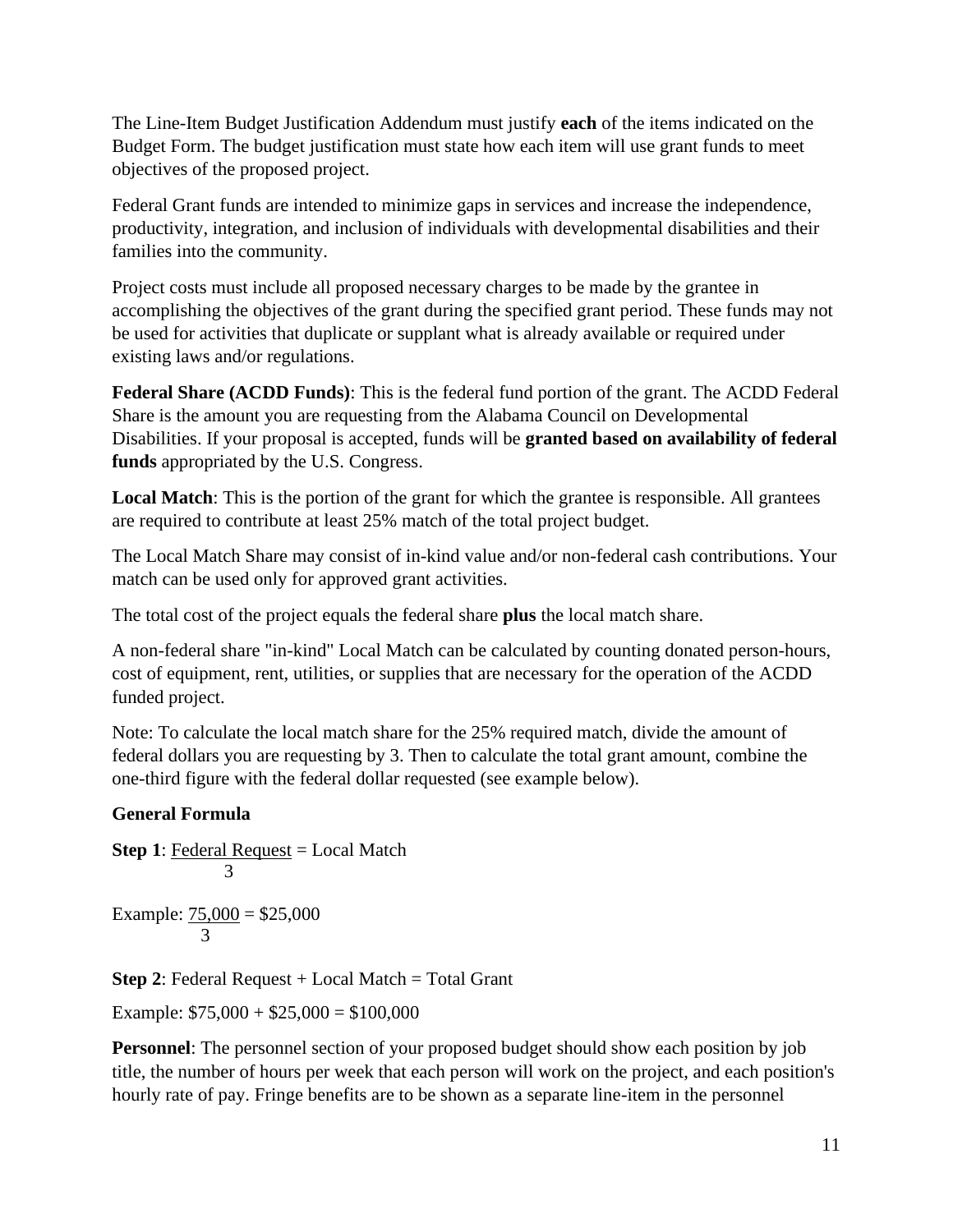The Line-Item Budget Justification Addendum must justify **each** of the items indicated on the Budget Form. The budget justification must state how each item will use grant funds to meet objectives of the proposed project.

Federal Grant funds are intended to minimize gaps in services and increase the independence, productivity, integration, and inclusion of individuals with developmental disabilities and their families into the community.

Project costs must include all proposed necessary charges to be made by the grantee in accomplishing the objectives of the grant during the specified grant period. These funds may not be used for activities that duplicate or supplant what is already available or required under existing laws and/or regulations.

**Federal Share (ACDD Funds)**: This is the federal fund portion of the grant. The ACDD Federal Share is the amount you are requesting from the Alabama Council on Developmental Disabilities. If your proposal is accepted, funds will be **granted based on availability of federal funds** appropriated by the U.S. Congress.

**Local Match**: This is the portion of the grant for which the grantee is responsible. All grantees are required to contribute at least 25% match of the total project budget.

The Local Match Share may consist of in-kind value and/or non-federal cash contributions. Your match can be used only for approved grant activities.

The total cost of the project equals the federal share **plus** the local match share.

A non-federal share "in-kind" Local Match can be calculated by counting donated person-hours, cost of equipment, rent, utilities, or supplies that are necessary for the operation of the ACDD funded project.

Note: To calculate the local match share for the 25% required match, divide the amount of federal dollars you are requesting by 3. Then to calculate the total grant amount, combine the one-third figure with the federal dollar requested (see example below).

# **General Formula**

**Step 1:** Federal Request = Local Match 3

Example:  $75,000 = $25,000$ 3

**Step 2:** Federal Request + Local Match = Total Grant

Example:  $$75,000 + $25,000 = $100,000$ 

**Personnel**: The personnel section of your proposed budget should show each position by job title, the number of hours per week that each person will work on the project, and each position's hourly rate of pay. Fringe benefits are to be shown as a separate line-item in the personnel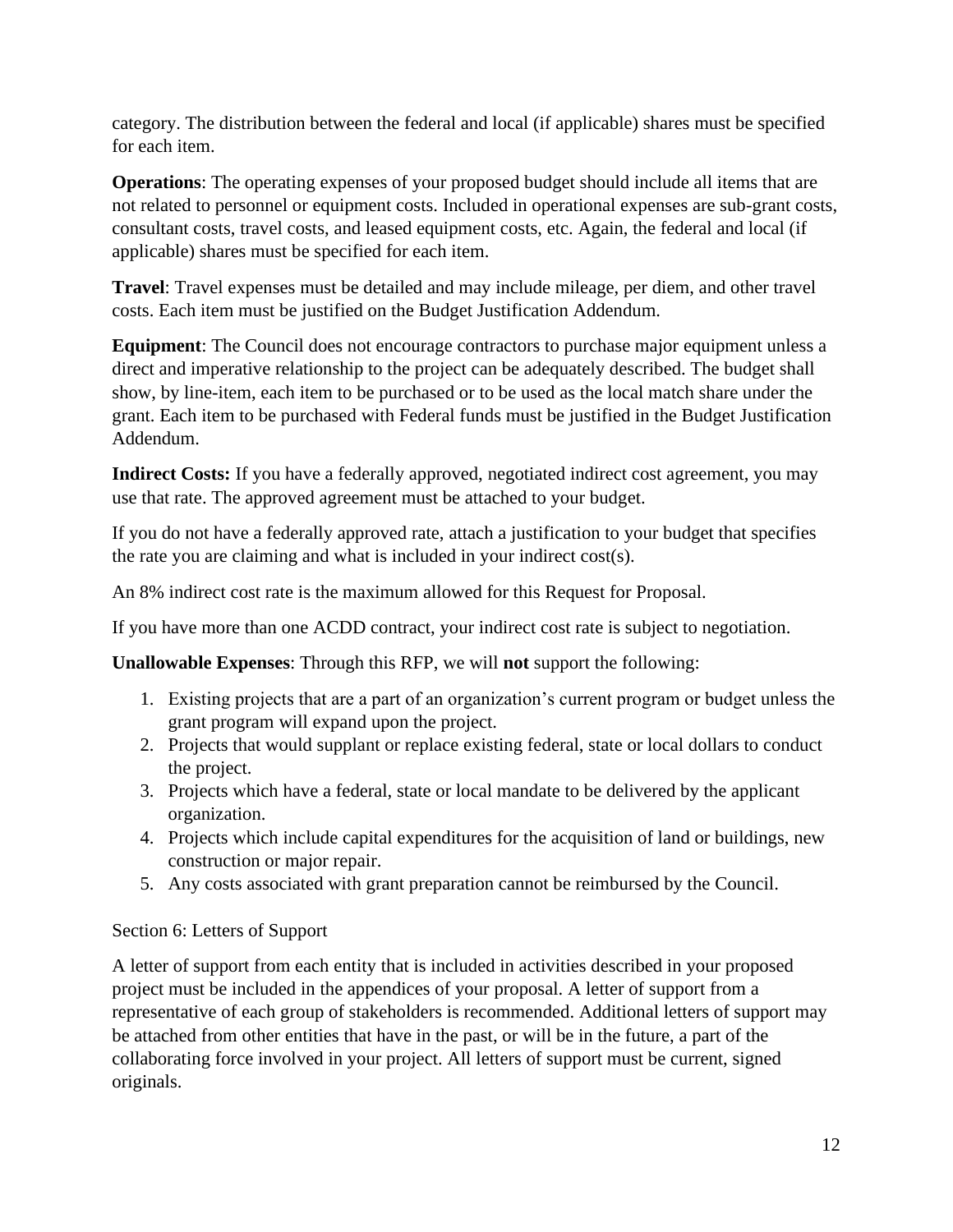category. The distribution between the federal and local (if applicable) shares must be specified for each item.

**Operations**: The operating expenses of your proposed budget should include all items that are not related to personnel or equipment costs. Included in operational expenses are sub-grant costs, consultant costs, travel costs, and leased equipment costs, etc. Again, the federal and local (if applicable) shares must be specified for each item.

**Travel**: Travel expenses must be detailed and may include mileage, per diem, and other travel costs. Each item must be justified on the Budget Justification Addendum.

**Equipment**: The Council does not encourage contractors to purchase major equipment unless a direct and imperative relationship to the project can be adequately described. The budget shall show, by line-item, each item to be purchased or to be used as the local match share under the grant. Each item to be purchased with Federal funds must be justified in the Budget Justification Addendum.

Indirect Costs: If you have a federally approved, negotiated indirect cost agreement, you may use that rate. The approved agreement must be attached to your budget.

If you do not have a federally approved rate, attach a justification to your budget that specifies the rate you are claiming and what is included in your indirect cost(s).

An 8% indirect cost rate is the maximum allowed for this Request for Proposal.

If you have more than one ACDD contract, your indirect cost rate is subject to negotiation.

**Unallowable Expenses**: Through this RFP, we will **not** support the following:

- 1. Existing projects that are a part of an organization's current program or budget unless the grant program will expand upon the project.
- 2. Projects that would supplant or replace existing federal, state or local dollars to conduct the project.
- 3. Projects which have a federal, state or local mandate to be delivered by the applicant organization.
- 4. Projects which include capital expenditures for the acquisition of land or buildings, new construction or major repair.
- 5. Any costs associated with grant preparation cannot be reimbursed by the Council.

### Section 6: Letters of Support

A letter of support from each entity that is included in activities described in your proposed project must be included in the appendices of your proposal. A letter of support from a representative of each group of stakeholders is recommended. Additional letters of support may be attached from other entities that have in the past, or will be in the future, a part of the collaborating force involved in your project. All letters of support must be current, signed originals.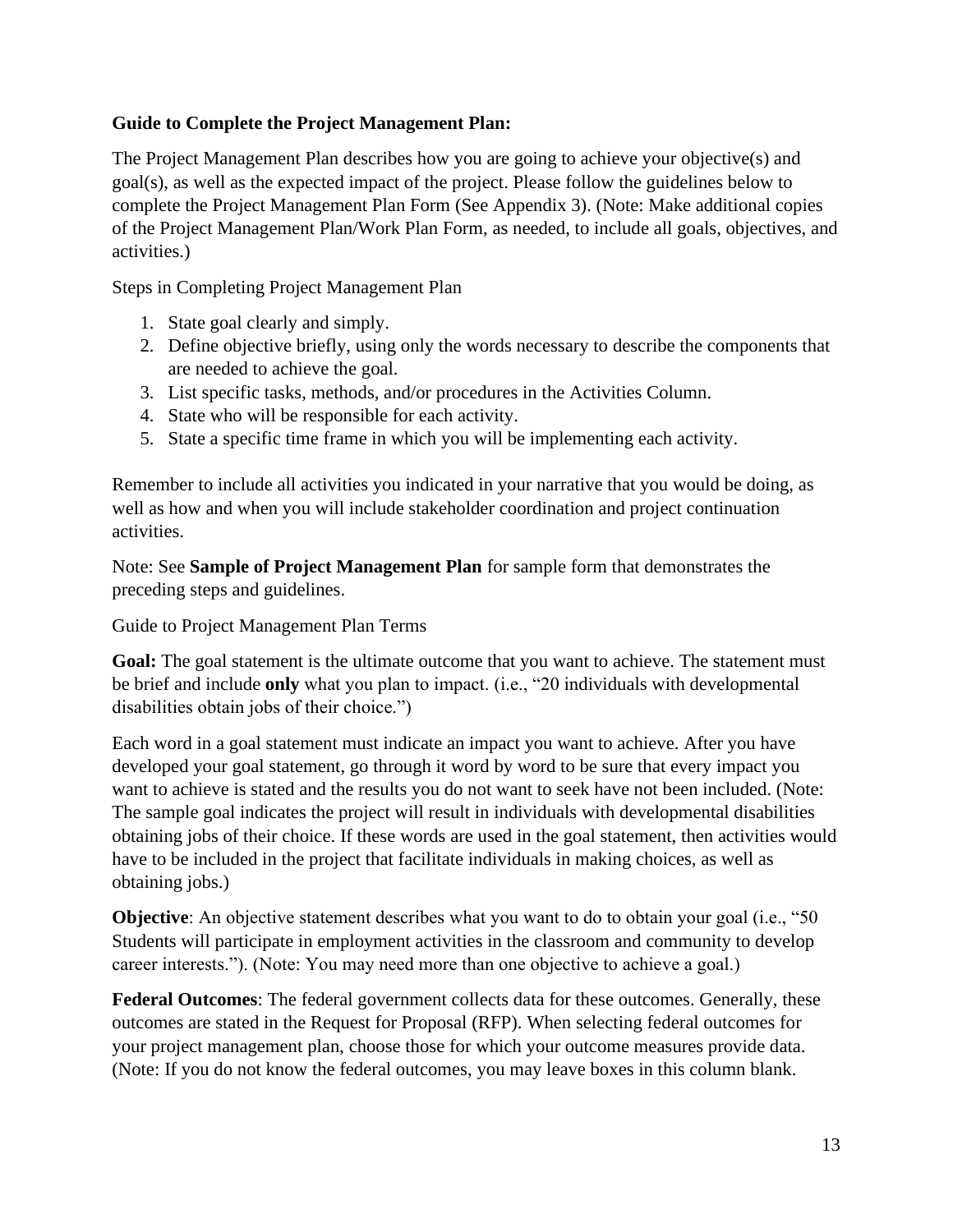### **Guide to Complete the Project Management Plan:**

The Project Management Plan describes how you are going to achieve your objective(s) and goal(s), as well as the expected impact of the project. Please follow the guidelines below to complete the Project Management Plan Form (See Appendix 3). (Note: Make additional copies of the Project Management Plan/Work Plan Form, as needed, to include all goals, objectives, and activities.)

Steps in Completing Project Management Plan

- 1. State goal clearly and simply.
- 2. Define objective briefly, using only the words necessary to describe the components that are needed to achieve the goal.
- 3. List specific tasks, methods, and/or procedures in the Activities Column.
- 4. State who will be responsible for each activity.
- 5. State a specific time frame in which you will be implementing each activity.

Remember to include all activities you indicated in your narrative that you would be doing, as well as how and when you will include stakeholder coordination and project continuation activities.

Note: See **Sample of Project Management Plan** for sample form that demonstrates the preceding steps and guidelines.

Guide to Project Management Plan Terms

**Goal:** The goal statement is the ultimate outcome that you want to achieve. The statement must be brief and include **only** what you plan to impact. (i.e., "20 individuals with developmental disabilities obtain jobs of their choice.")

Each word in a goal statement must indicate an impact you want to achieve. After you have developed your goal statement, go through it word by word to be sure that every impact you want to achieve is stated and the results you do not want to seek have not been included. (Note: The sample goal indicates the project will result in individuals with developmental disabilities obtaining jobs of their choice. If these words are used in the goal statement, then activities would have to be included in the project that facilitate individuals in making choices, as well as obtaining jobs.)

**Objective**: An objective statement describes what you want to do to obtain your goal (i.e., "50 Students will participate in employment activities in the classroom and community to develop career interests."). (Note: You may need more than one objective to achieve a goal.)

**Federal Outcomes**: The federal government collects data for these outcomes. Generally, these outcomes are stated in the Request for Proposal (RFP). When selecting federal outcomes for your project management plan, choose those for which your outcome measures provide data. (Note: If you do not know the federal outcomes, you may leave boxes in this column blank.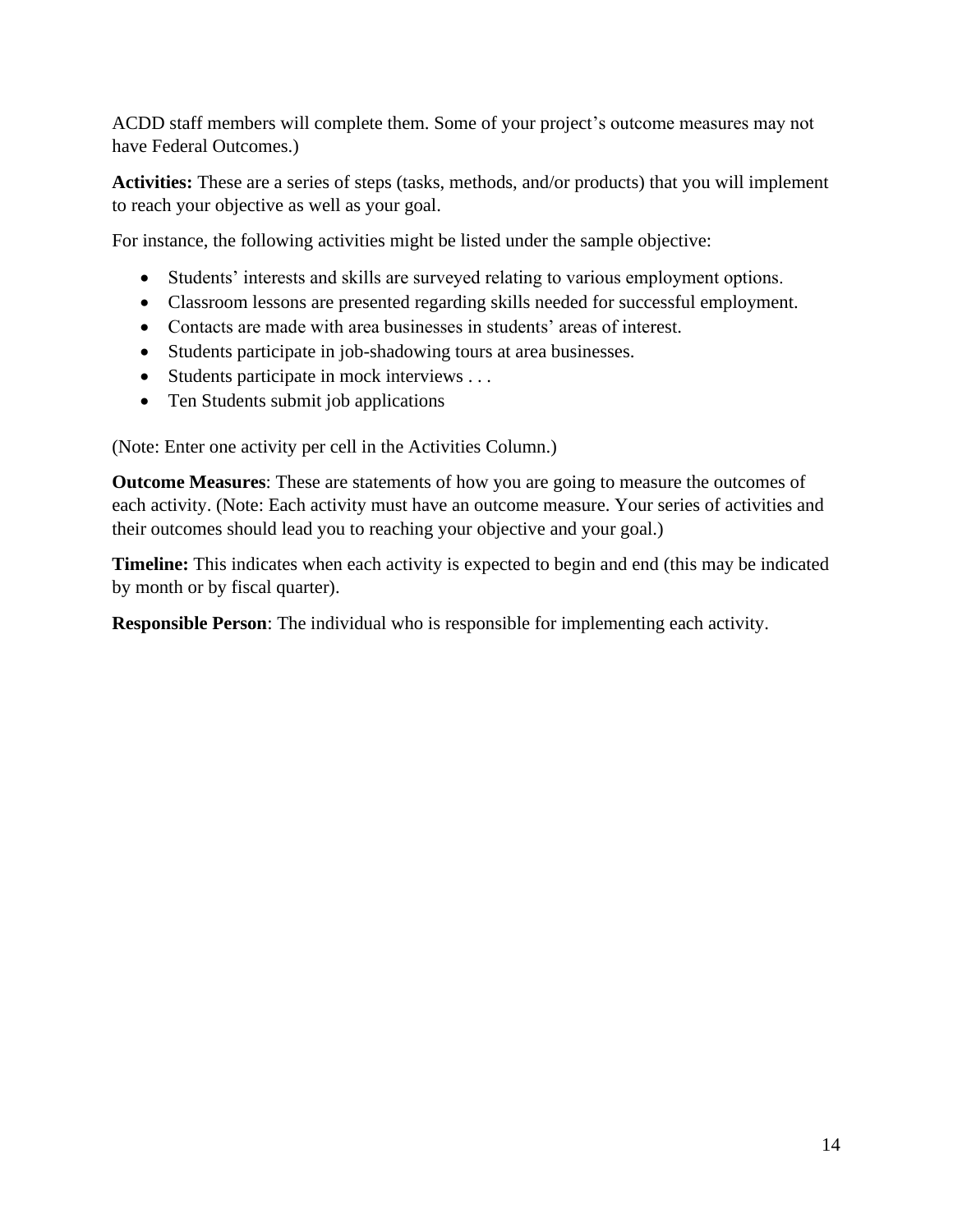ACDD staff members will complete them. Some of your project's outcome measures may not have Federal Outcomes.)

**Activities:** These are a series of steps (tasks, methods, and/or products) that you will implement to reach your objective as well as your goal.

For instance, the following activities might be listed under the sample objective:

- Students' interests and skills are surveyed relating to various employment options.
- Classroom lessons are presented regarding skills needed for successful employment.
- Contacts are made with area businesses in students' areas of interest.
- Students participate in job-shadowing tours at area businesses.
- Students participate in mock interviews . . .
- Ten Students submit job applications

(Note: Enter one activity per cell in the Activities Column.)

**Outcome Measures**: These are statements of how you are going to measure the outcomes of each activity. (Note: Each activity must have an outcome measure. Your series of activities and their outcomes should lead you to reaching your objective and your goal.)

**Timeline:** This indicates when each activity is expected to begin and end (this may be indicated by month or by fiscal quarter).

**Responsible Person**: The individual who is responsible for implementing each activity.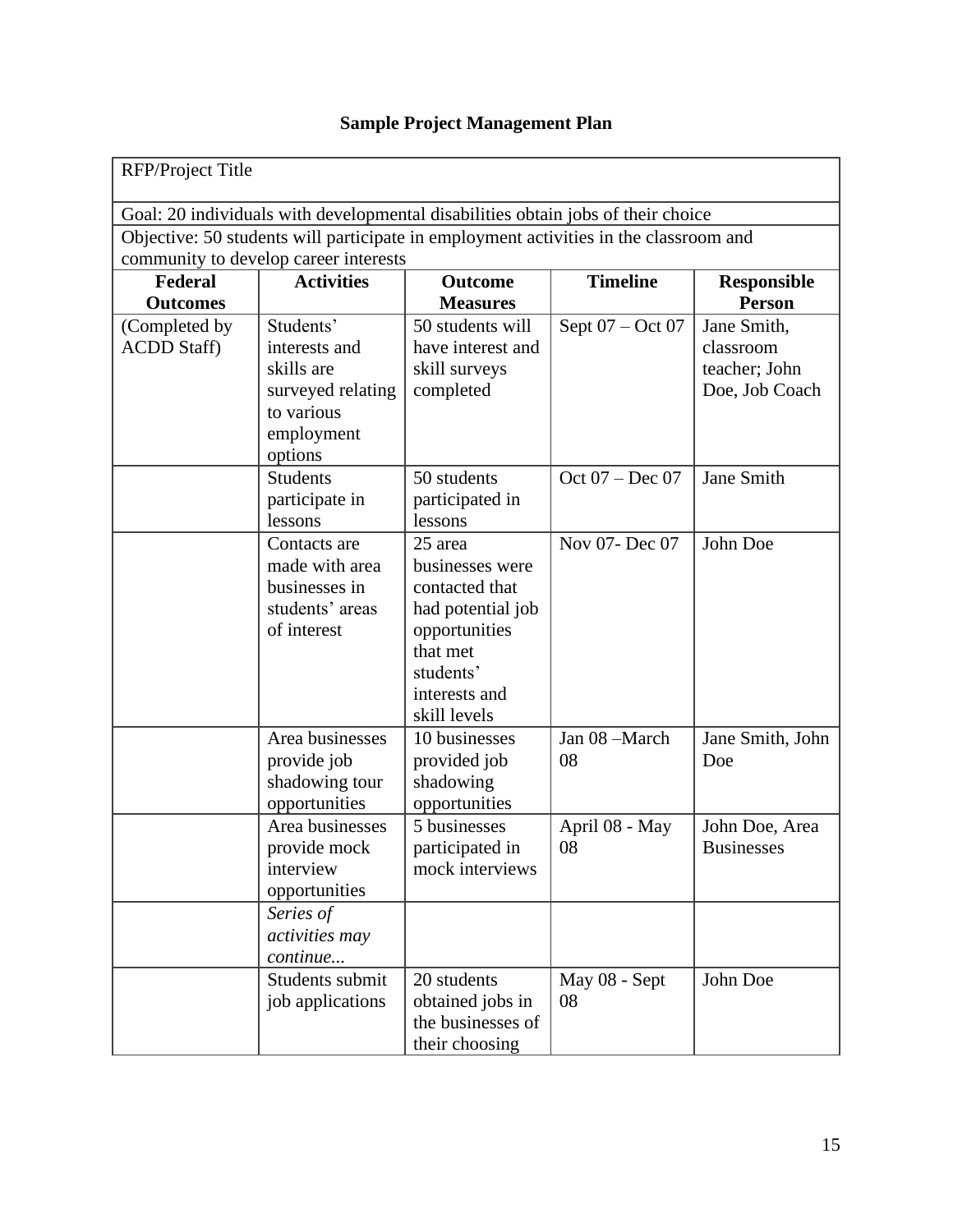| RFP/Project Title                                                                     |                                                                                                      |                                                                                                                                              |                      |                                                             |  |  |  |
|---------------------------------------------------------------------------------------|------------------------------------------------------------------------------------------------------|----------------------------------------------------------------------------------------------------------------------------------------------|----------------------|-------------------------------------------------------------|--|--|--|
| Goal: 20 individuals with developmental disabilities obtain jobs of their choice      |                                                                                                      |                                                                                                                                              |                      |                                                             |  |  |  |
| Objective: 50 students will participate in employment activities in the classroom and |                                                                                                      |                                                                                                                                              |                      |                                                             |  |  |  |
| community to develop career interests                                                 |                                                                                                      |                                                                                                                                              |                      |                                                             |  |  |  |
| Federal<br><b>Outcomes</b>                                                            | <b>Activities</b>                                                                                    | <b>Outcome</b><br><b>Measures</b>                                                                                                            | <b>Timeline</b>      | <b>Responsible</b><br><b>Person</b>                         |  |  |  |
| (Completed by<br><b>ACDD</b> Staff)                                                   | Students'<br>interests and<br>skills are<br>surveyed relating<br>to various<br>employment<br>options | 50 students will<br>have interest and<br>skill surveys<br>completed                                                                          | Sept 07 - Oct 07     | Jane Smith,<br>classroom<br>teacher; John<br>Doe, Job Coach |  |  |  |
|                                                                                       | <b>Students</b><br>participate in<br>lessons                                                         | 50 students<br>participated in<br>lessons                                                                                                    | Oct $07 - Dec 07$    | Jane Smith                                                  |  |  |  |
|                                                                                       | Contacts are<br>made with area<br>businesses in<br>students' areas<br>of interest                    | 25 area<br>businesses were<br>contacted that<br>had potential job<br>opportunities<br>that met<br>students'<br>interests and<br>skill levels | Nov 07- Dec 07       | John Doe                                                    |  |  |  |
|                                                                                       | Area businesses<br>provide job<br>shadowing tour<br>opportunities                                    | 10 businesses<br>provided job<br>shadowing<br>opportunities                                                                                  | Jan 08 -March<br>08  | Jane Smith, John<br>Doe                                     |  |  |  |
|                                                                                       | Area businesses<br>provide mock<br>interview<br>opportunities                                        | 5 businesses<br>participated in<br>mock interviews                                                                                           | April 08 - May<br>08 | John Doe, Area<br><b>Businesses</b>                         |  |  |  |
|                                                                                       | Series of<br>activities may<br>continue                                                              |                                                                                                                                              |                      |                                                             |  |  |  |
|                                                                                       | Students submit<br>job applications                                                                  | 20 students<br>obtained jobs in<br>the businesses of<br>their choosing                                                                       | May 08 - Sept<br>08  | John Doe                                                    |  |  |  |

# **Sample Project Management Plan**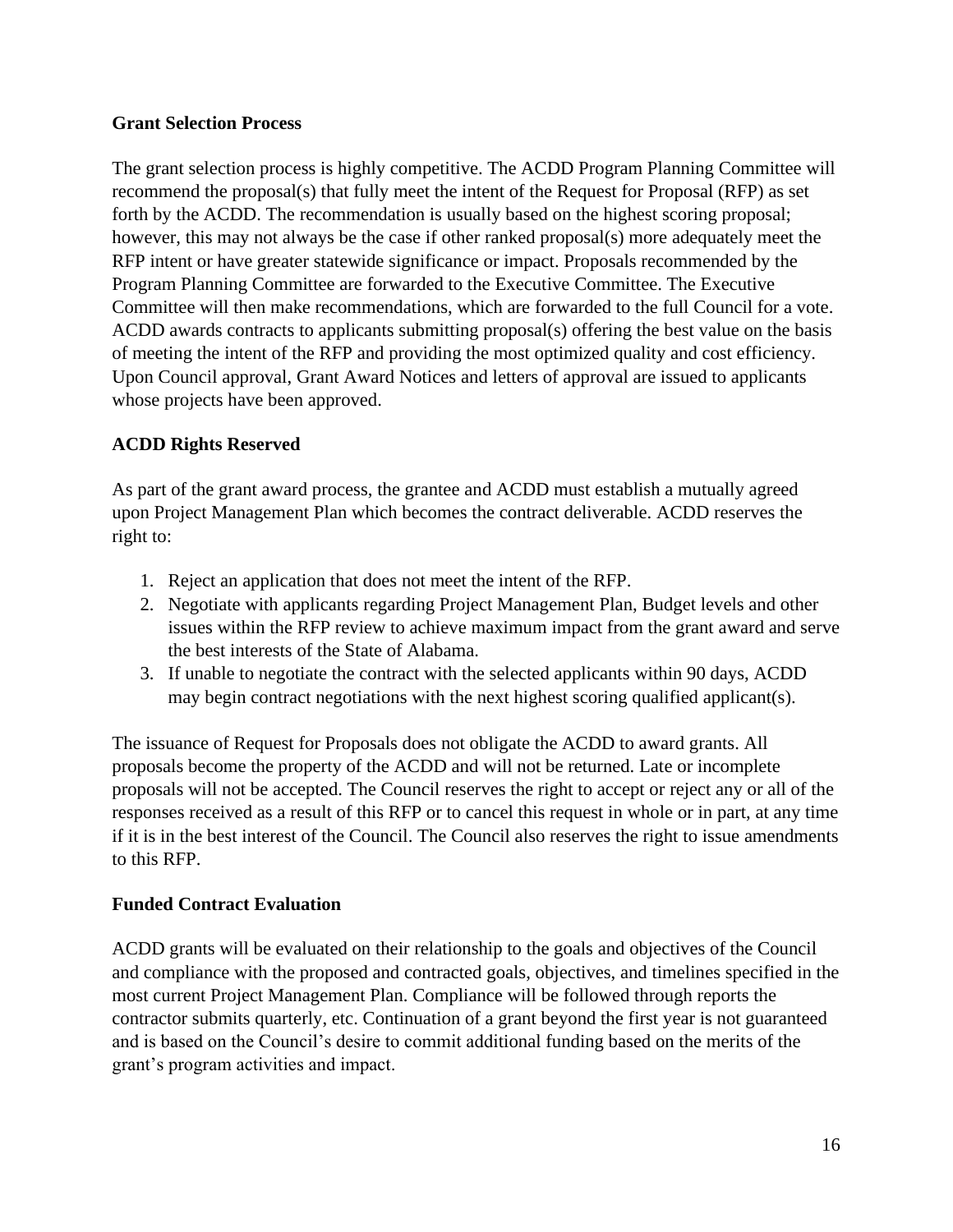### **Grant Selection Process**

The grant selection process is highly competitive. The ACDD Program Planning Committee will recommend the proposal(s) that fully meet the intent of the Request for Proposal (RFP) as set forth by the ACDD. The recommendation is usually based on the highest scoring proposal; however, this may not always be the case if other ranked proposal(s) more adequately meet the RFP intent or have greater statewide significance or impact. Proposals recommended by the Program Planning Committee are forwarded to the Executive Committee. The Executive Committee will then make recommendations, which are forwarded to the full Council for a vote. ACDD awards contracts to applicants submitting proposal(s) offering the best value on the basis of meeting the intent of the RFP and providing the most optimized quality and cost efficiency. Upon Council approval, Grant Award Notices and letters of approval are issued to applicants whose projects have been approved.

# **ACDD Rights Reserved**

As part of the grant award process, the grantee and ACDD must establish a mutually agreed upon Project Management Plan which becomes the contract deliverable. ACDD reserves the right to:

- 1. Reject an application that does not meet the intent of the RFP.
- 2. Negotiate with applicants regarding Project Management Plan, Budget levels and other issues within the RFP review to achieve maximum impact from the grant award and serve the best interests of the State of Alabama.
- 3. If unable to negotiate the contract with the selected applicants within 90 days, ACDD may begin contract negotiations with the next highest scoring qualified applicant(s).

The issuance of Request for Proposals does not obligate the ACDD to award grants. All proposals become the property of the ACDD and will not be returned. Late or incomplete proposals will not be accepted. The Council reserves the right to accept or reject any or all of the responses received as a result of this RFP or to cancel this request in whole or in part, at any time if it is in the best interest of the Council. The Council also reserves the right to issue amendments to this RFP.

# **Funded Contract Evaluation**

ACDD grants will be evaluated on their relationship to the goals and objectives of the Council and compliance with the proposed and contracted goals, objectives, and timelines specified in the most current Project Management Plan. Compliance will be followed through reports the contractor submits quarterly, etc. Continuation of a grant beyond the first year is not guaranteed and is based on the Council's desire to commit additional funding based on the merits of the grant's program activities and impact.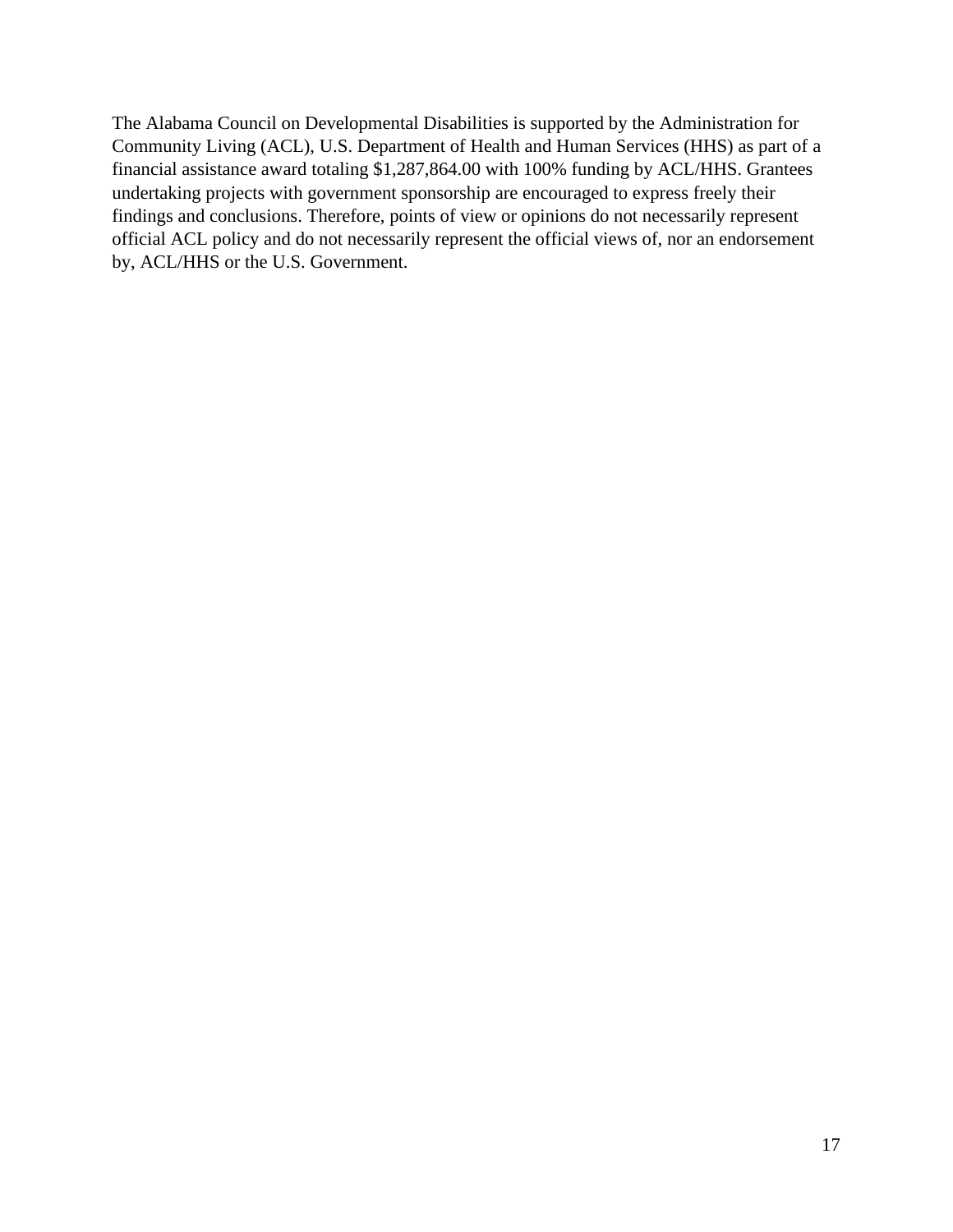The Alabama Council on Developmental Disabilities is supported by the Administration for Community Living (ACL), U.S. Department of Health and Human Services (HHS) as part of a financial assistance award totaling \$1,287,864.00 with 100% funding by ACL/HHS. Grantees undertaking projects with government sponsorship are encouraged to express freely their findings and conclusions. Therefore, points of view or opinions do not necessarily represent official ACL policy and do not necessarily represent the official views of, nor an endorsement by, ACL/HHS or the U.S. Government.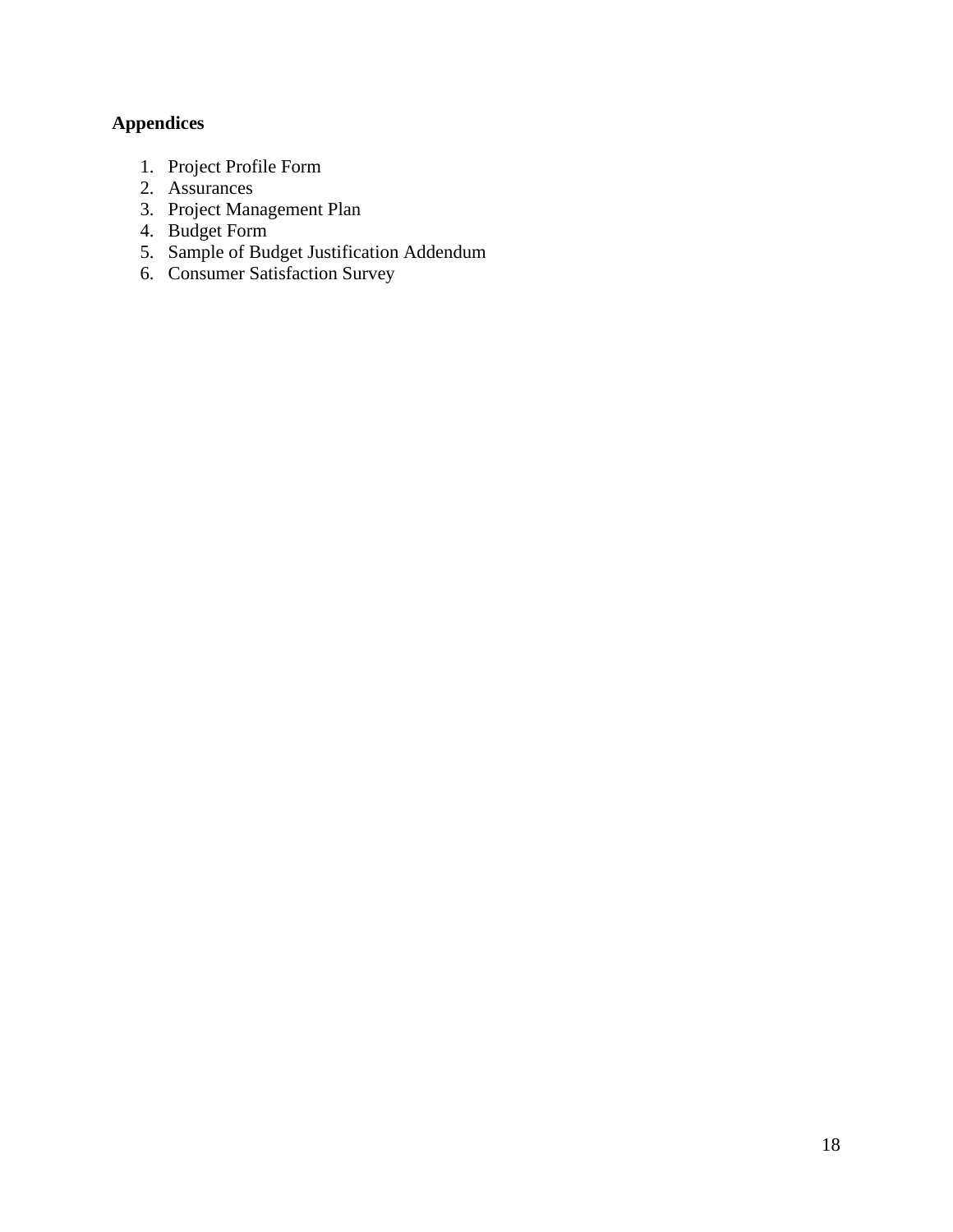# **Appendices**

- 1. Project Profile Form
- 2. Assurances
- 3. Project Management Plan
- 4. Budget Form
- 5. Sample of Budget Justification Addendum
- 6. Consumer Satisfaction Survey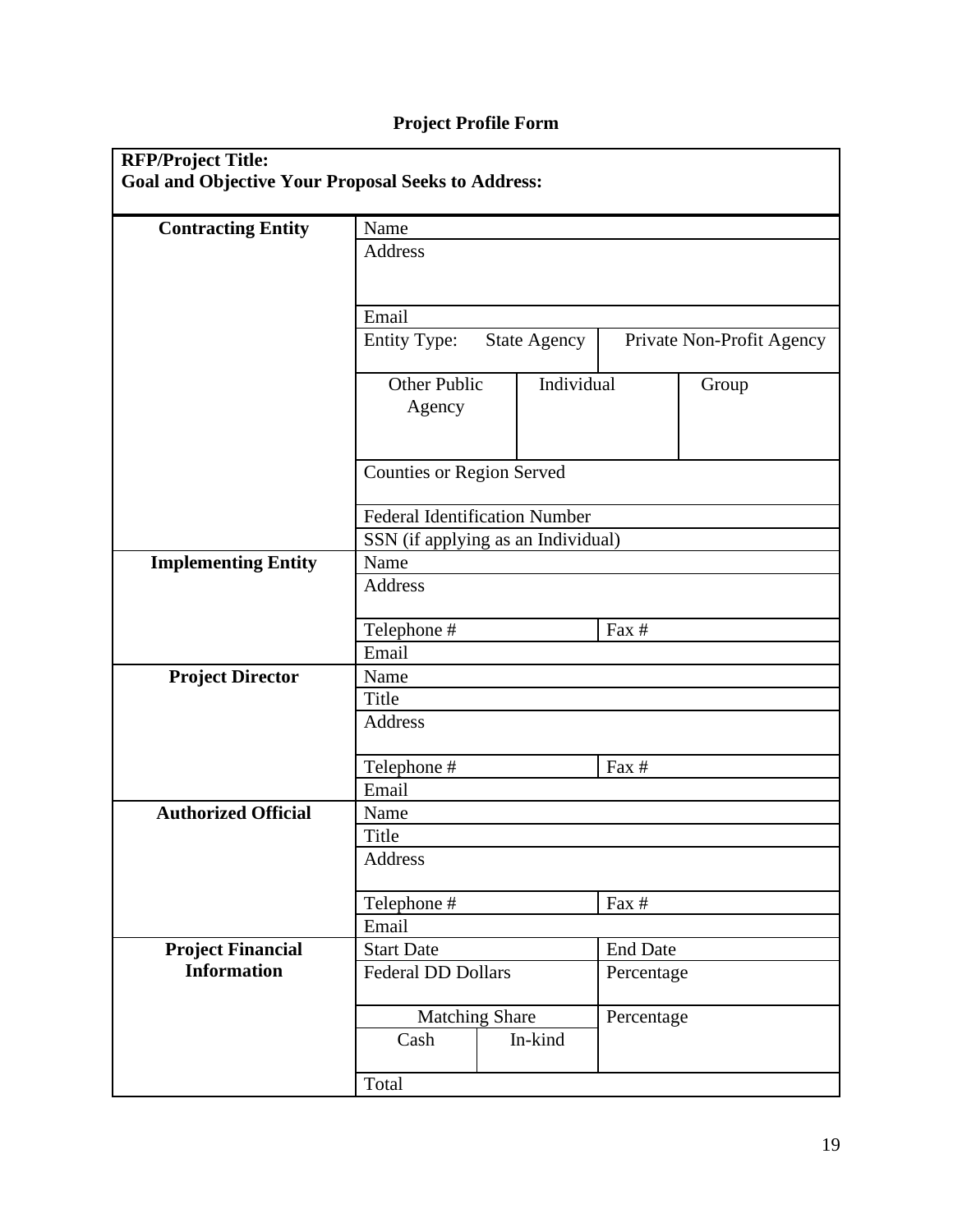# **Project Profile Form**

| <b>RFP/Project Title:</b><br><b>Goal and Objective Your Proposal Seeks to Address:</b> |                                          |                                                  |                     |  |  |  |
|----------------------------------------------------------------------------------------|------------------------------------------|--------------------------------------------------|---------------------|--|--|--|
| <b>Contracting Entity</b>                                                              | Name                                     |                                                  |                     |  |  |  |
|                                                                                        | <b>Address</b>                           |                                                  |                     |  |  |  |
|                                                                                        |                                          |                                                  |                     |  |  |  |
|                                                                                        | Email                                    |                                                  |                     |  |  |  |
|                                                                                        | <b>Entity Type:</b>                      | <b>State Agency</b><br>Private Non-Profit Agency |                     |  |  |  |
|                                                                                        | Other Public<br>Agency                   |                                                  | Individual<br>Group |  |  |  |
|                                                                                        | <b>Counties or Region Served</b>         |                                                  |                     |  |  |  |
|                                                                                        | <b>Federal Identification Number</b>     |                                                  |                     |  |  |  |
|                                                                                        | SSN (if applying as an Individual)       |                                                  |                     |  |  |  |
| <b>Implementing Entity</b>                                                             | Name                                     |                                                  |                     |  |  |  |
|                                                                                        | <b>Address</b>                           |                                                  |                     |  |  |  |
|                                                                                        | Telephone #                              |                                                  | Fax #               |  |  |  |
|                                                                                        | Email                                    |                                                  |                     |  |  |  |
| <b>Project Director</b>                                                                | Name                                     |                                                  |                     |  |  |  |
|                                                                                        | Title                                    |                                                  |                     |  |  |  |
|                                                                                        | <b>Address</b>                           |                                                  |                     |  |  |  |
|                                                                                        | Telephone #                              |                                                  | Fax #               |  |  |  |
|                                                                                        | Email                                    |                                                  |                     |  |  |  |
| <b>Authorized Official</b>                                                             | Name                                     |                                                  |                     |  |  |  |
|                                                                                        | Title                                    |                                                  |                     |  |  |  |
|                                                                                        | <b>Address</b><br>Fax $#$<br>Telephone # |                                                  |                     |  |  |  |
|                                                                                        |                                          |                                                  |                     |  |  |  |
|                                                                                        | Email                                    |                                                  |                     |  |  |  |
| <b>Project Financial</b>                                                               | <b>Start Date</b><br><b>End Date</b>     |                                                  |                     |  |  |  |
| <b>Information</b>                                                                     | <b>Federal DD Dollars</b><br>Percentage  |                                                  |                     |  |  |  |
|                                                                                        | <b>Matching Share</b><br>Percentage      |                                                  |                     |  |  |  |
|                                                                                        | Cash                                     | In-kind                                          |                     |  |  |  |
|                                                                                        | Total                                    |                                                  |                     |  |  |  |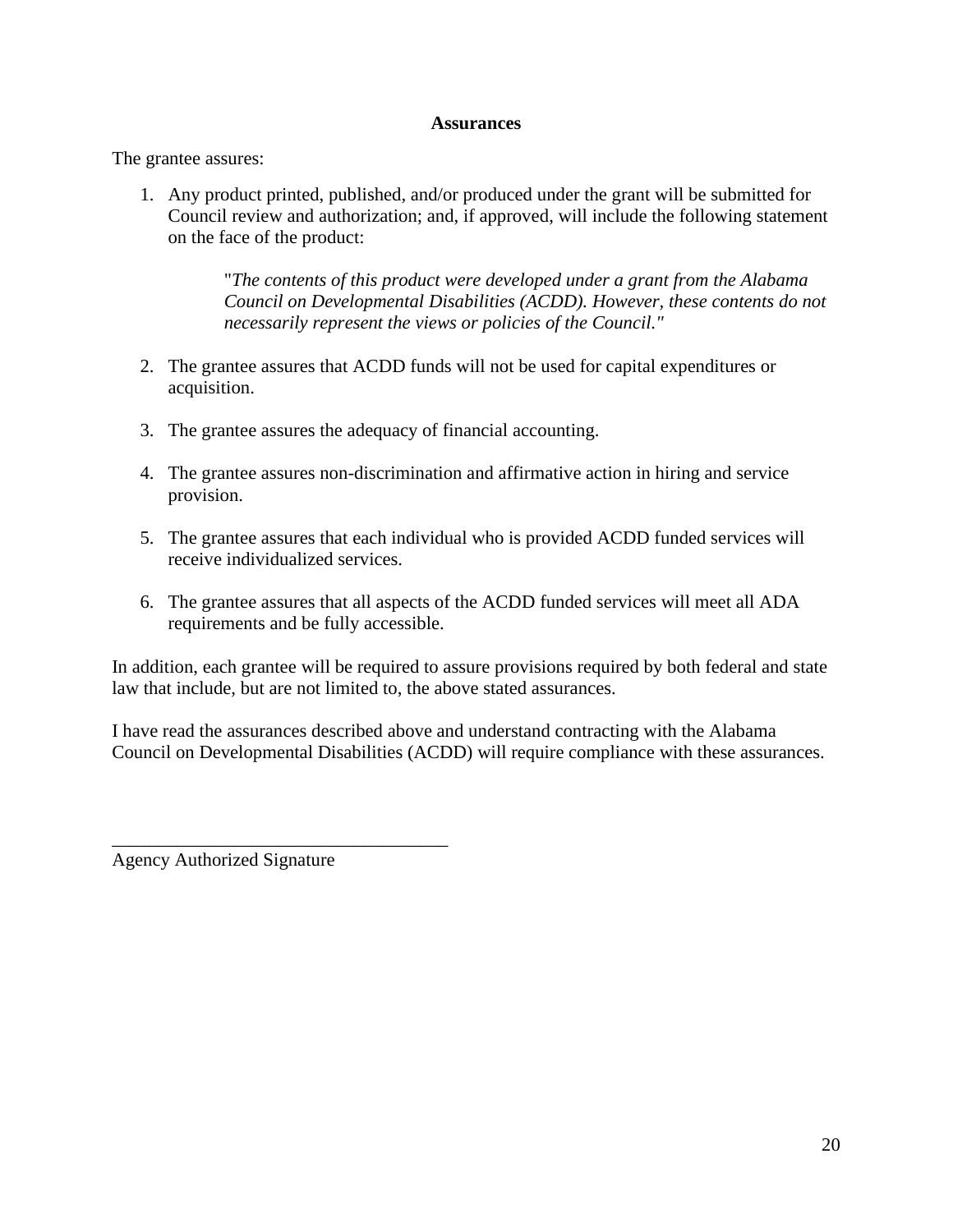#### **Assurances**

The grantee assures:

1. Any product printed, published, and/or produced under the grant will be submitted for Council review and authorization; and, if approved, will include the following statement on the face of the product:

> "*The contents of this product were developed under a grant from the Alabama Council on Developmental Disabilities (ACDD). However, these contents do not necessarily represent the views or policies of the Council."*

- 2. The grantee assures that ACDD funds will not be used for capital expenditures or acquisition.
- 3. The grantee assures the adequacy of financial accounting.
- 4. The grantee assures non-discrimination and affirmative action in hiring and service provision.
- 5. The grantee assures that each individual who is provided ACDD funded services will receive individualized services.
- 6. The grantee assures that all aspects of the ACDD funded services will meet all ADA requirements and be fully accessible.

In addition, each grantee will be required to assure provisions required by both federal and state law that include, but are not limited to, the above stated assurances.

I have read the assurances described above and understand contracting with the Alabama Council on Developmental Disabilities (ACDD) will require compliance with these assurances.

Agency Authorized Signature

\_\_\_\_\_\_\_\_\_\_\_\_\_\_\_\_\_\_\_\_\_\_\_\_\_\_\_\_\_\_\_\_\_\_\_\_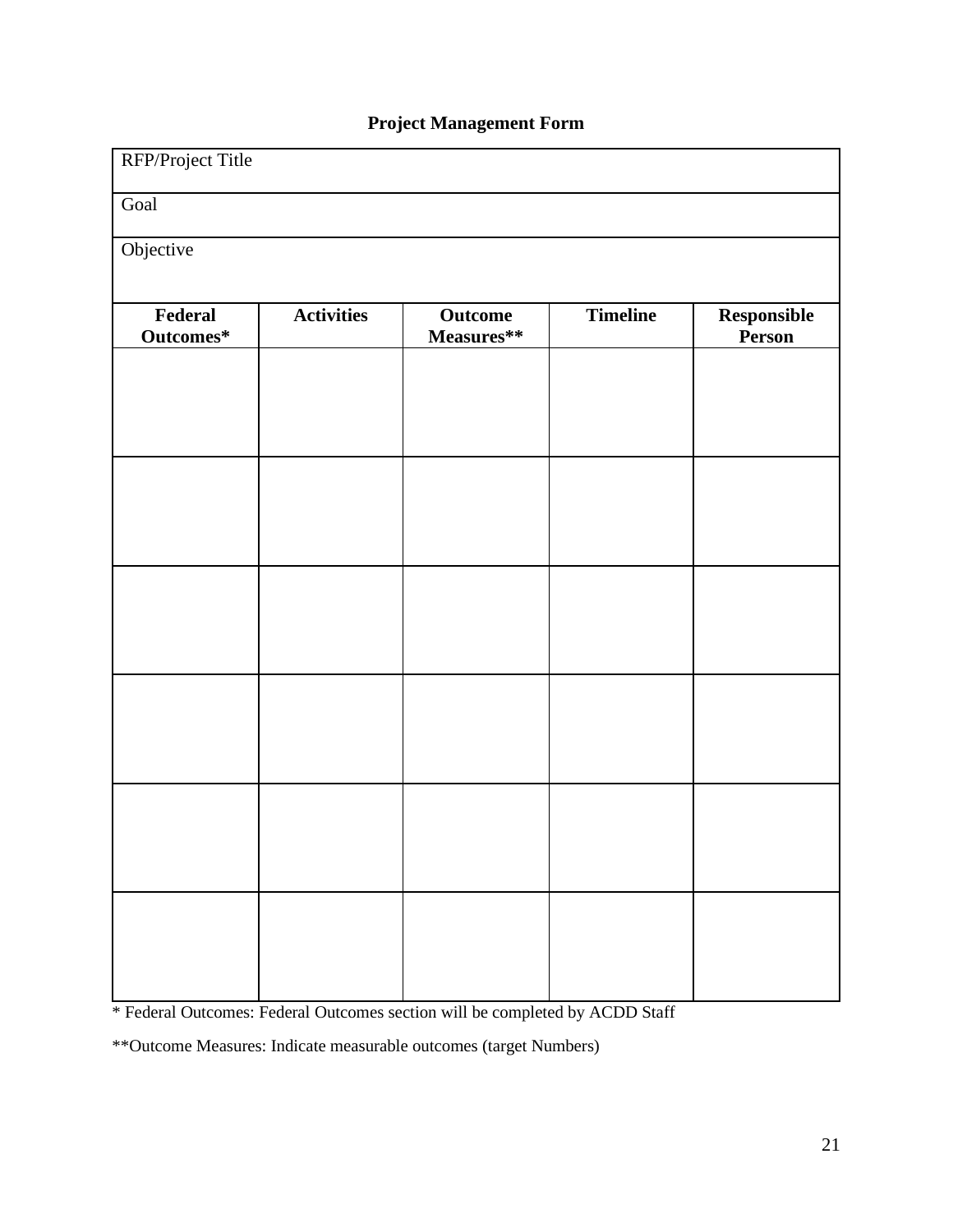# **Project Management Form**

| RFP/Project Title    |                   |                                |                 |                       |  |  |  |
|----------------------|-------------------|--------------------------------|-----------------|-----------------------|--|--|--|
| Goal                 |                   |                                |                 |                       |  |  |  |
| Objective            |                   |                                |                 |                       |  |  |  |
| Federal<br>Outcomes* | <b>Activities</b> | Outcome<br>$\bf Measures^{**}$ | <b>Timeline</b> | Responsible<br>Person |  |  |  |
|                      |                   |                                |                 |                       |  |  |  |
|                      |                   |                                |                 |                       |  |  |  |
|                      |                   |                                |                 |                       |  |  |  |
|                      |                   |                                |                 |                       |  |  |  |
|                      |                   |                                |                 |                       |  |  |  |
|                      |                   |                                |                 |                       |  |  |  |
|                      |                   |                                |                 |                       |  |  |  |
|                      |                   |                                |                 |                       |  |  |  |
|                      |                   |                                |                 |                       |  |  |  |
|                      |                   |                                |                 |                       |  |  |  |
|                      |                   |                                |                 |                       |  |  |  |
|                      |                   |                                |                 |                       |  |  |  |

\* Federal Outcomes: Federal Outcomes section will be completed by ACDD Staff

\*\*Outcome Measures: Indicate measurable outcomes (target Numbers)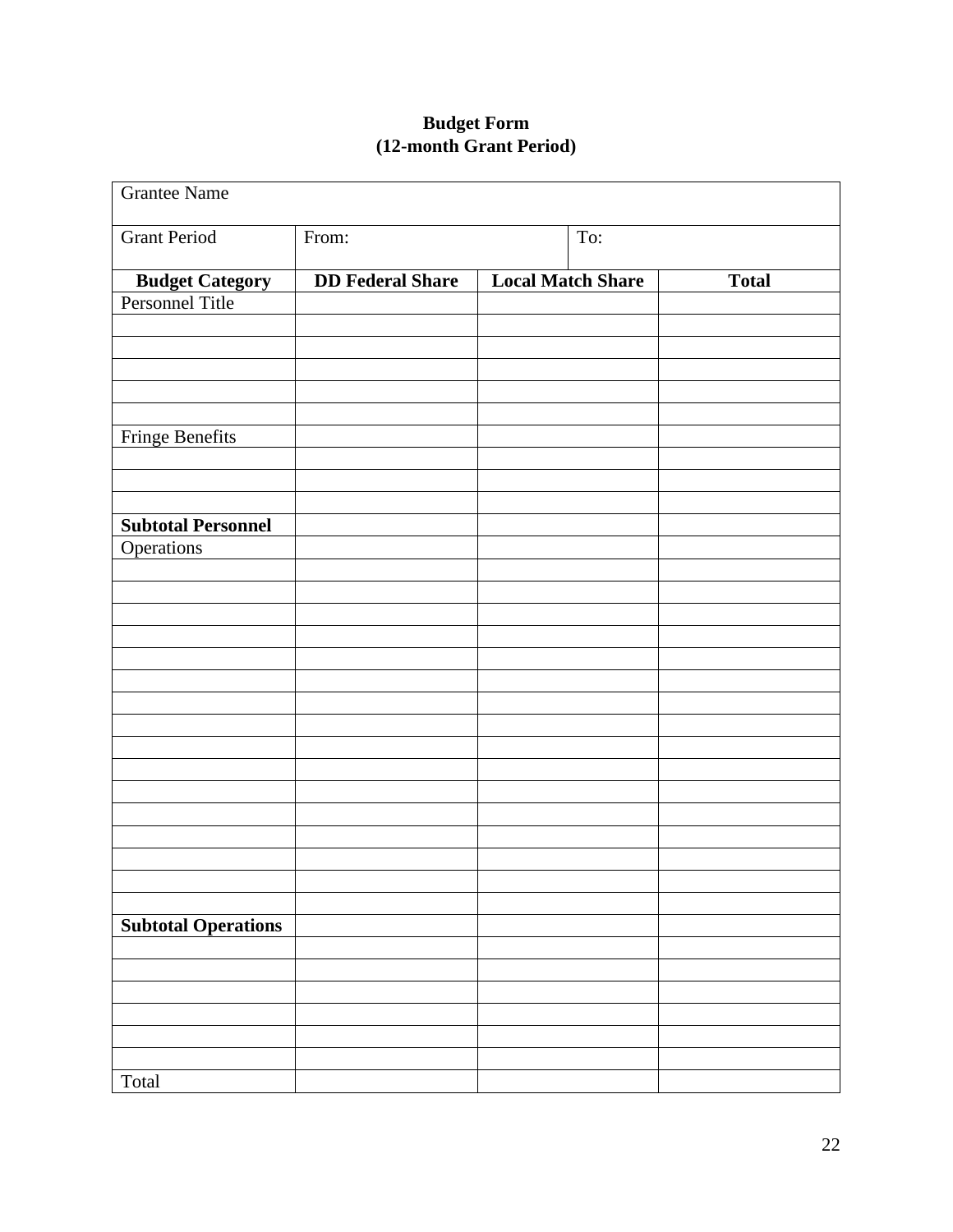# **Budget Form (12-month Grant Period)**

| <b>Grantee Name</b>        |                         |                          |              |
|----------------------------|-------------------------|--------------------------|--------------|
| <b>Grant Period</b>        | From:                   | To:                      |              |
| <b>Budget Category</b>     | <b>DD Federal Share</b> | <b>Local Match Share</b> | <b>Total</b> |
| Personnel Title            |                         |                          |              |
|                            |                         |                          |              |
|                            |                         |                          |              |
|                            |                         |                          |              |
|                            |                         |                          |              |
|                            |                         |                          |              |
| <b>Fringe Benefits</b>     |                         |                          |              |
|                            |                         |                          |              |
|                            |                         |                          |              |
| <b>Subtotal Personnel</b>  |                         |                          |              |
| Operations                 |                         |                          |              |
|                            |                         |                          |              |
|                            |                         |                          |              |
|                            |                         |                          |              |
|                            |                         |                          |              |
|                            |                         |                          |              |
|                            |                         |                          |              |
|                            |                         |                          |              |
|                            |                         |                          |              |
|                            |                         |                          |              |
|                            |                         |                          |              |
|                            |                         |                          |              |
|                            |                         |                          |              |
|                            |                         |                          |              |
|                            |                         |                          |              |
|                            |                         |                          |              |
| <b>Subtotal Operations</b> |                         |                          |              |
|                            |                         |                          |              |
|                            |                         |                          |              |
|                            |                         |                          |              |
|                            |                         |                          |              |
|                            |                         |                          |              |
| Total                      |                         |                          |              |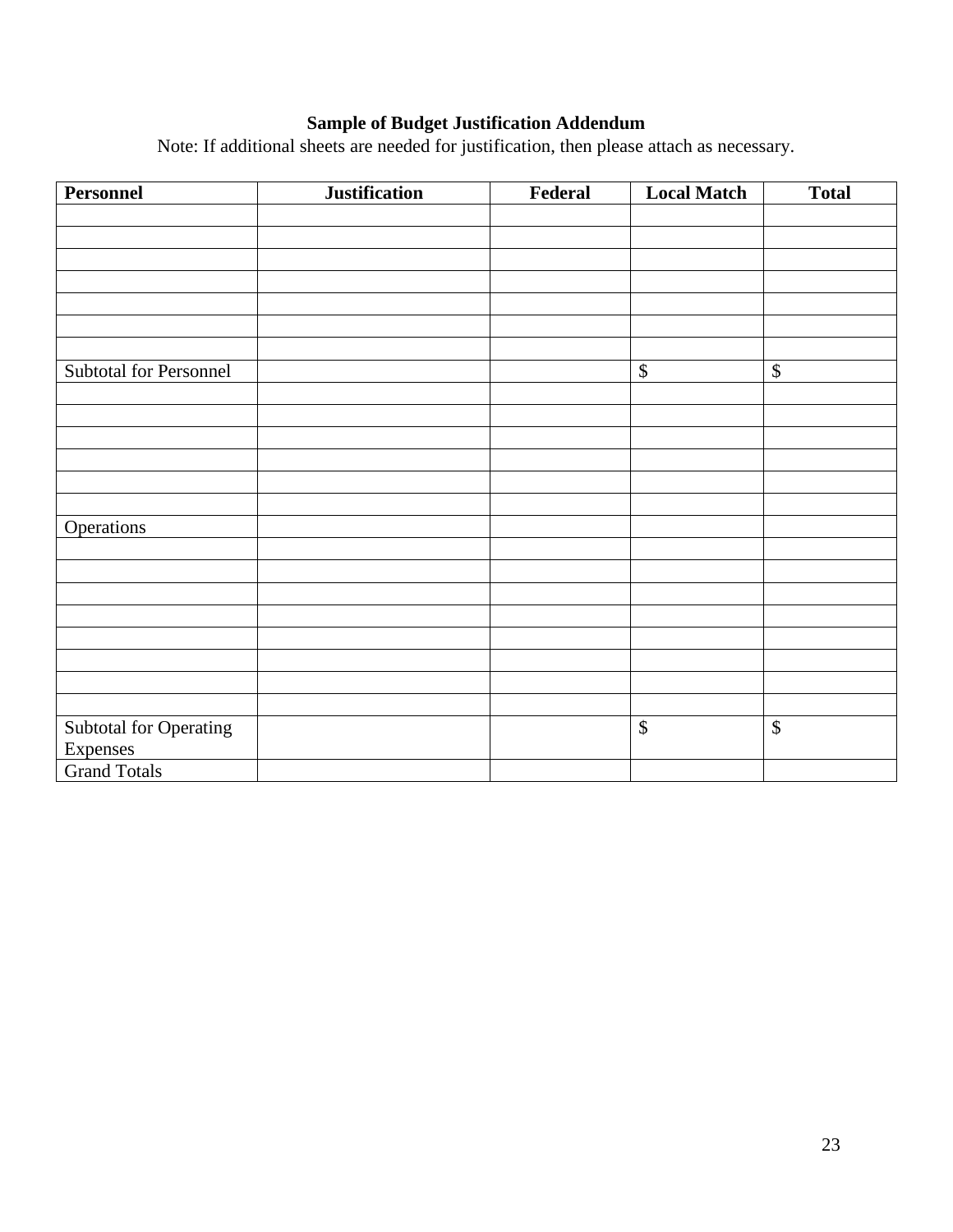# **Sample of Budget Justification Addendum**

Note: If additional sheets are needed for justification, then please attach as necessary.

| <b>Personnel</b>              | <b>Justification</b> | Federal | <b>Local Match</b> | <b>Total</b>    |
|-------------------------------|----------------------|---------|--------------------|-----------------|
|                               |                      |         |                    |                 |
|                               |                      |         |                    |                 |
|                               |                      |         |                    |                 |
|                               |                      |         |                    |                 |
|                               |                      |         |                    |                 |
|                               |                      |         |                    |                 |
|                               |                      |         |                    |                 |
| Subtotal for Personnel        |                      |         | $\boldsymbol{\$}$  | $\mathbb{S}$    |
|                               |                      |         |                    |                 |
|                               |                      |         |                    |                 |
|                               |                      |         |                    |                 |
|                               |                      |         |                    |                 |
|                               |                      |         |                    |                 |
|                               |                      |         |                    |                 |
| <b>Operations</b>             |                      |         |                    |                 |
|                               |                      |         |                    |                 |
|                               |                      |         |                    |                 |
|                               |                      |         |                    |                 |
|                               |                      |         |                    |                 |
|                               |                      |         |                    |                 |
|                               |                      |         |                    |                 |
|                               |                      |         |                    |                 |
|                               |                      |         |                    |                 |
| <b>Subtotal for Operating</b> |                      |         | $\overline{\$}$    | $\overline{\$}$ |
| Expenses                      |                      |         |                    |                 |
| <b>Grand Totals</b>           |                      |         |                    |                 |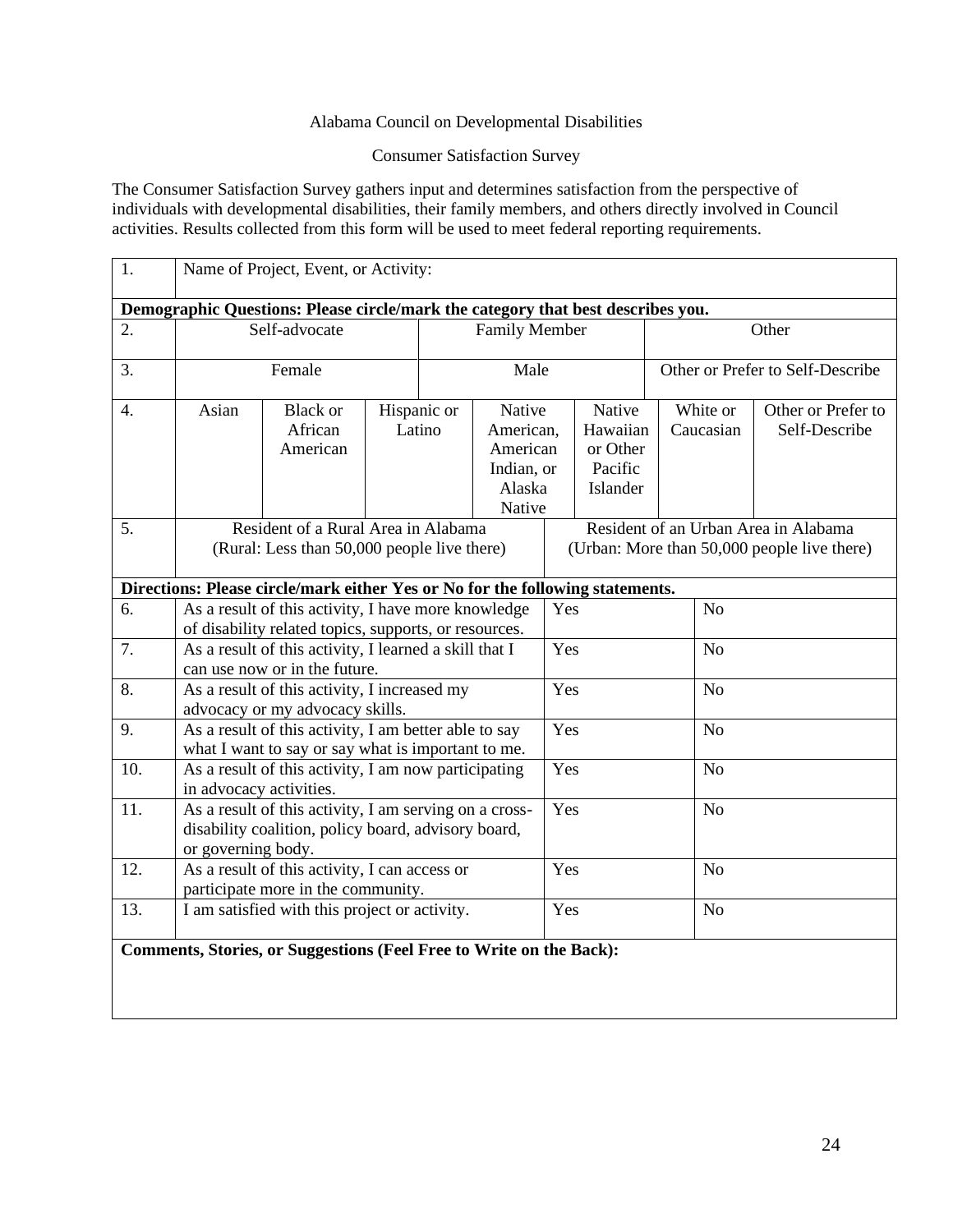#### Alabama Council on Developmental Disabilities

#### Consumer Satisfaction Survey

The Consumer Satisfaction Survey gathers input and determines satisfaction from the perspective of individuals with developmental disabilities, their family members, and others directly involved in Council activities. Results collected from this form will be used to meet federal reporting requirements.

| 1.                                                                  | Name of Project, Event, or Activity:                                                                                                |                                                                               |                       |                       |                                                                                     |                |                                                       |                                  |                |                                     |
|---------------------------------------------------------------------|-------------------------------------------------------------------------------------------------------------------------------------|-------------------------------------------------------------------------------|-----------------------|-----------------------|-------------------------------------------------------------------------------------|----------------|-------------------------------------------------------|----------------------------------|----------------|-------------------------------------|
|                                                                     | Demographic Questions: Please circle/mark the category that best describes you.                                                     |                                                                               |                       |                       |                                                                                     |                |                                                       |                                  |                |                                     |
| 2.                                                                  | Self-advocate                                                                                                                       |                                                                               |                       | <b>Family Member</b>  |                                                                                     | Other          |                                                       |                                  |                |                                     |
| 3.                                                                  |                                                                                                                                     | Female                                                                        |                       |                       | Male                                                                                |                |                                                       | Other or Prefer to Self-Describe |                |                                     |
| $\overline{4}$ .                                                    | Asian                                                                                                                               | <b>Black</b> or<br>African<br>American                                        | Hispanic or<br>Latino |                       | Native<br>American,<br>American<br>Indian, or<br>Alaska<br>Native                   |                | Native<br>Hawaiian<br>or Other<br>Pacific<br>Islander | White or<br>Caucasian            |                | Other or Prefer to<br>Self-Describe |
| 5.                                                                  | Resident of a Rural Area in Alabama<br>(Rural: Less than 50,000 people live there)                                                  |                                                                               |                       |                       | Resident of an Urban Area in Alabama<br>(Urban: More than 50,000 people live there) |                |                                                       |                                  |                |                                     |
|                                                                     |                                                                                                                                     | Directions: Please circle/mark either Yes or No for the following statements. |                       |                       |                                                                                     |                |                                                       |                                  |                |                                     |
| 6.                                                                  | As a result of this activity, I have more knowledge<br>of disability related topics, supports, or resources.                        |                                                                               |                       | N <sub>o</sub><br>Yes |                                                                                     |                |                                                       |                                  |                |                                     |
| 7.                                                                  | As a result of this activity, I learned a skill that I<br>can use now or in the future.                                             |                                                                               |                       | Yes                   |                                                                                     |                | N <sub>o</sub>                                        |                                  |                |                                     |
| 8.                                                                  | As a result of this activity, I increased my<br>advocacy or my advocacy skills.                                                     |                                                                               |                       | Yes                   |                                                                                     | N <sub>o</sub> |                                                       |                                  |                |                                     |
| 9.                                                                  | As a result of this activity, I am better able to say<br>what I want to say or say what is important to me.                         |                                                                               |                       |                       | Yes                                                                                 |                | N <sub>o</sub>                                        |                                  |                |                                     |
| 10.                                                                 | As a result of this activity, I am now participating<br>in advocacy activities.                                                     |                                                                               |                       |                       | Yes<br>N <sub>o</sub>                                                               |                |                                                       |                                  |                |                                     |
| 11.                                                                 | As a result of this activity, I am serving on a cross-<br>disability coalition, policy board, advisory board,<br>or governing body. |                                                                               |                       |                       | Yes                                                                                 |                |                                                       | N <sub>o</sub>                   |                |                                     |
| 12.                                                                 | As a result of this activity, I can access or<br>participate more in the community.                                                 |                                                                               |                       | Yes                   |                                                                                     |                | N <sub>o</sub>                                        |                                  |                |                                     |
| 13.                                                                 | I am satisfied with this project or activity.                                                                                       |                                                                               |                       |                       |                                                                                     | Yes            |                                                       |                                  | N <sub>o</sub> |                                     |
| Comments, Stories, or Suggestions (Feel Free to Write on the Back): |                                                                                                                                     |                                                                               |                       |                       |                                                                                     |                |                                                       |                                  |                |                                     |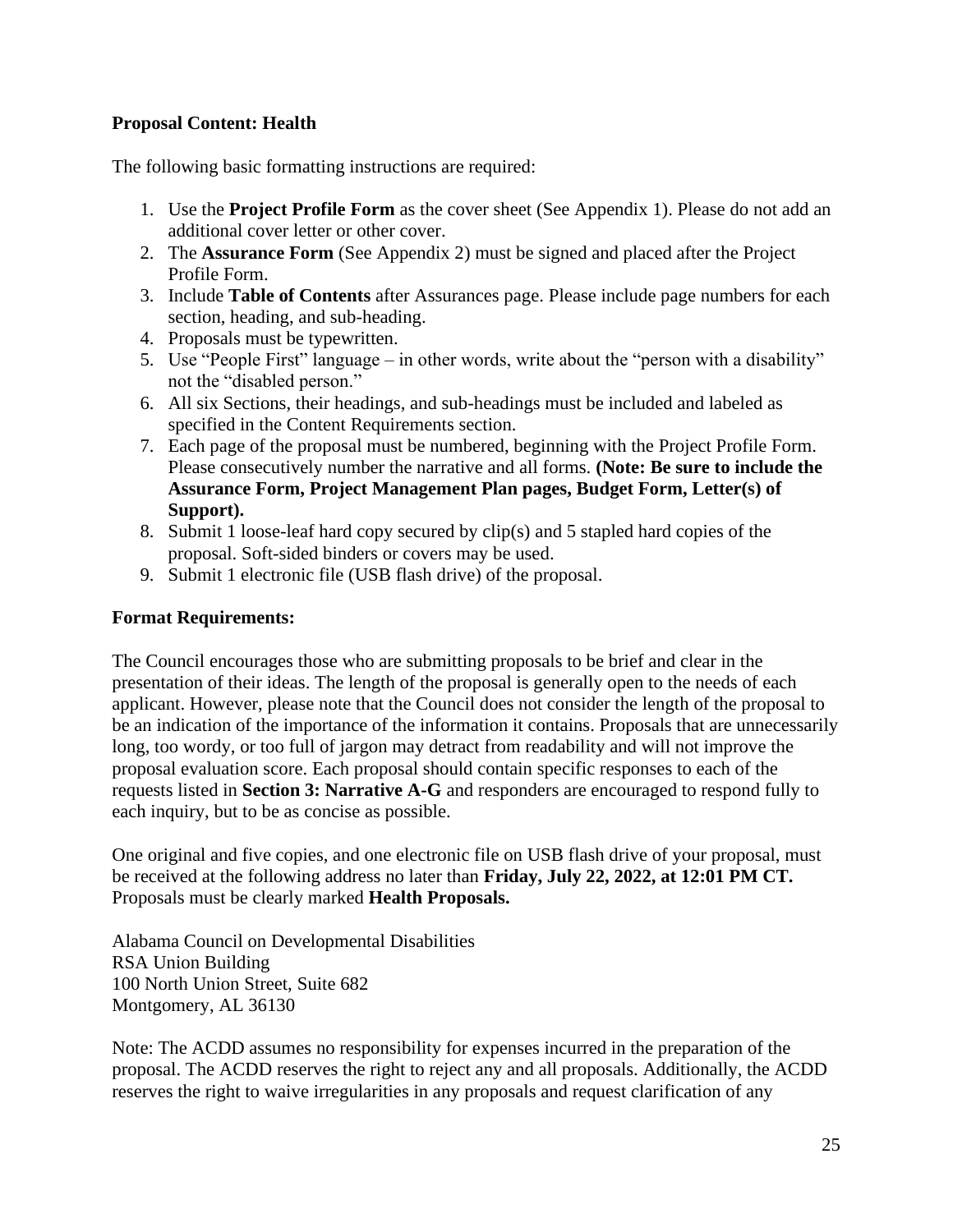### **Proposal Content: Health**

The following basic formatting instructions are required:

- 1. Use the **Project Profile Form** as the cover sheet (See Appendix 1). Please do not add an additional cover letter or other cover.
- 2. The **Assurance Form** (See Appendix 2) must be signed and placed after the Project Profile Form.
- 3. Include **Table of Contents** after Assurances page. Please include page numbers for each section, heading, and sub-heading.
- 4. Proposals must be typewritten.
- 5. Use "People First" language in other words, write about the "person with a disability" not the "disabled person."
- 6. All six Sections, their headings, and sub-headings must be included and labeled as specified in the Content Requirements section.
- 7. Each page of the proposal must be numbered, beginning with the Project Profile Form. Please consecutively number the narrative and all forms. **(Note: Be sure to include the Assurance Form, Project Management Plan pages, Budget Form, Letter(s) of Support).**
- 8. Submit 1 loose-leaf hard copy secured by clip(s) and 5 stapled hard copies of the proposal. Soft-sided binders or covers may be used.
- 9. Submit 1 electronic file (USB flash drive) of the proposal.

#### **Format Requirements:**

The Council encourages those who are submitting proposals to be brief and clear in the presentation of their ideas. The length of the proposal is generally open to the needs of each applicant. However, please note that the Council does not consider the length of the proposal to be an indication of the importance of the information it contains. Proposals that are unnecessarily long, too wordy, or too full of jargon may detract from readability and will not improve the proposal evaluation score. Each proposal should contain specific responses to each of the requests listed in **Section 3: Narrative A-G** and responders are encouraged to respond fully to each inquiry, but to be as concise as possible.

One original and five copies, and one electronic file on USB flash drive of your proposal, must be received at the following address no later than **Friday, July 22, 2022, at 12:01 PM CT.**  Proposals must be clearly marked **Health Proposals.**

Alabama Council on Developmental Disabilities RSA Union Building 100 North Union Street, Suite 682 Montgomery, AL 36130

Note: The ACDD assumes no responsibility for expenses incurred in the preparation of the proposal. The ACDD reserves the right to reject any and all proposals. Additionally, the ACDD reserves the right to waive irregularities in any proposals and request clarification of any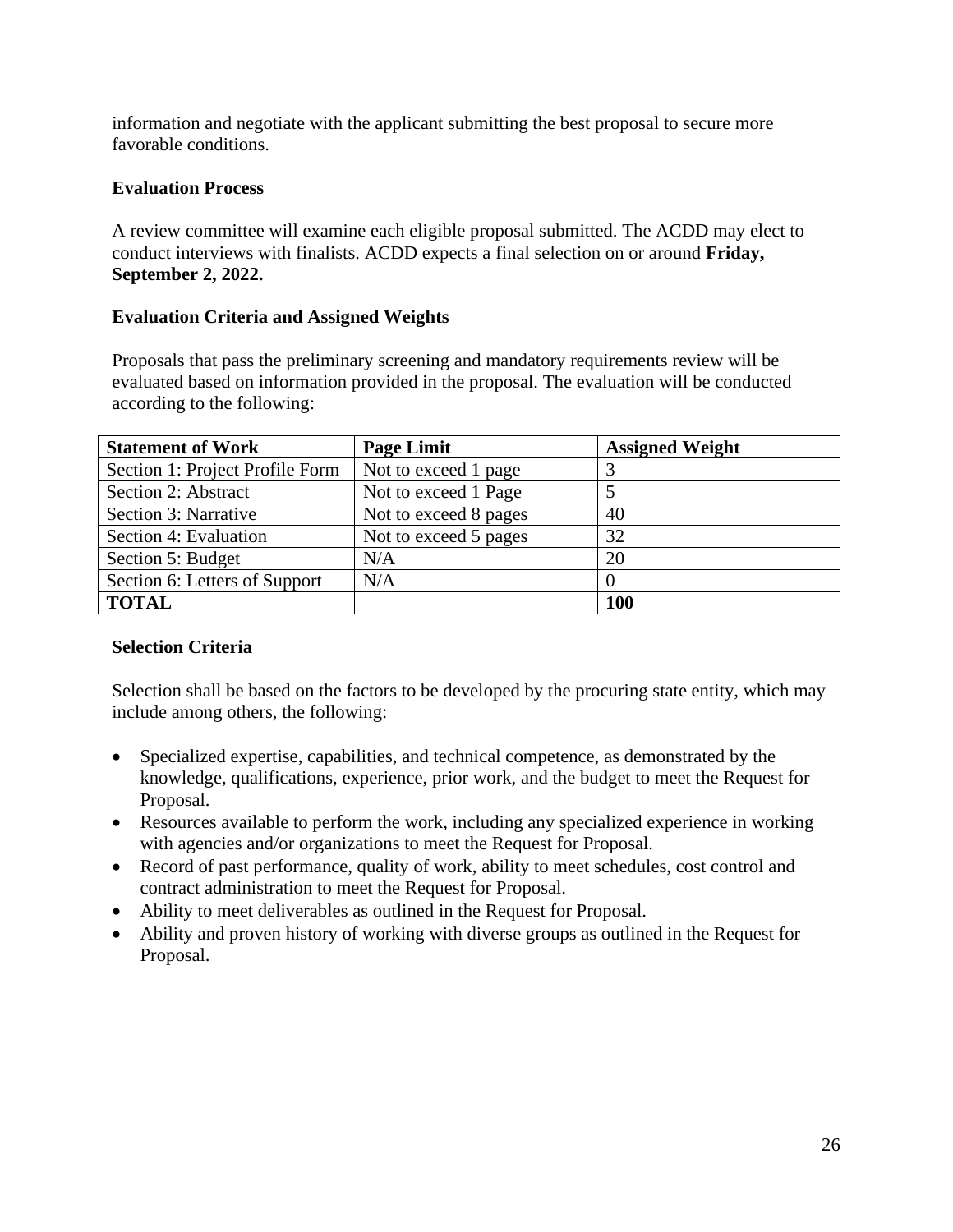information and negotiate with the applicant submitting the best proposal to secure more favorable conditions.

### **Evaluation Process**

A review committee will examine each eligible proposal submitted. The ACDD may elect to conduct interviews with finalists. ACDD expects a final selection on or around **Friday, September 2, 2022.** 

#### **Evaluation Criteria and Assigned Weights**

Proposals that pass the preliminary screening and mandatory requirements review will be evaluated based on information provided in the proposal. The evaluation will be conducted according to the following:

| <b>Statement of Work</b>        | <b>Page Limit</b>     | <b>Assigned Weight</b> |
|---------------------------------|-----------------------|------------------------|
| Section 1: Project Profile Form | Not to exceed 1 page  |                        |
| Section 2: Abstract             | Not to exceed 1 Page  |                        |
| Section 3: Narrative            | Not to exceed 8 pages | 40                     |
| Section 4: Evaluation           | Not to exceed 5 pages | 32                     |
| Section 5: Budget               | N/A                   | 20                     |
| Section 6: Letters of Support   | N/A                   |                        |
| <b>TOTAL</b>                    |                       | <b>100</b>             |

### **Selection Criteria**

Selection shall be based on the factors to be developed by the procuring state entity, which may include among others, the following:

- Specialized expertise, capabilities, and technical competence, as demonstrated by the knowledge, qualifications, experience, prior work, and the budget to meet the Request for Proposal.
- Resources available to perform the work, including any specialized experience in working with agencies and/or organizations to meet the Request for Proposal.
- Record of past performance, quality of work, ability to meet schedules, cost control and contract administration to meet the Request for Proposal.
- Ability to meet deliverables as outlined in the Request for Proposal.
- Ability and proven history of working with diverse groups as outlined in the Request for Proposal.